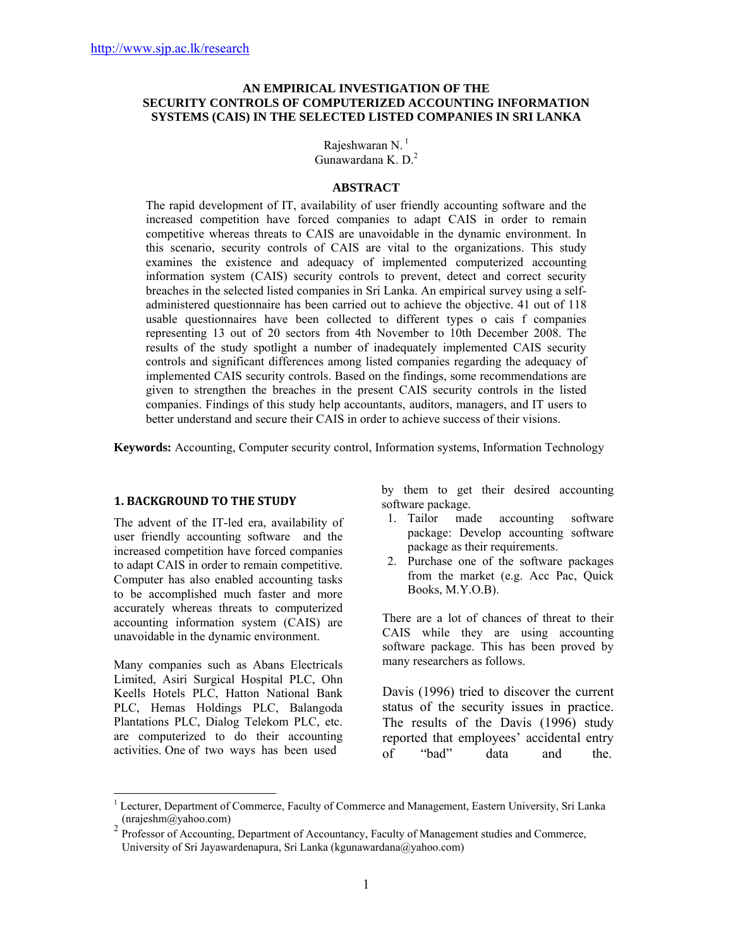### **AN EMPIRICAL INVESTIGATION OF THE SECURITY CONTROLS OF COMPUTERIZED ACCOUNTING INFORMATION SYSTEMS (CAIS) IN THE SELECTED LISTED COMPANIES IN SRI LANKA**

Rajeshwaran N.<sup>1</sup> Gunawardana K. D.2

#### **ABSTRACT**

The rapid development of IT, availability of user friendly accounting software and the increased competition have forced companies to adapt CAIS in order to remain competitive whereas threats to CAIS are unavoidable in the dynamic environment. In this scenario, security controls of CAIS are vital to the organizations. This study examines the existence and adequacy of implemented computerized accounting information system (CAIS) security controls to prevent, detect and correct security breaches in the selected listed companies in Sri Lanka. An empirical survey using a selfadministered questionnaire has been carried out to achieve the objective. 41 out of 118 usable questionnaires have been collected to different types o cais f companies representing 13 out of 20 sectors from 4th November to 10th December 2008. The results of the study spotlight a number of inadequately implemented CAIS security controls and significant differences among listed companies regarding the adequacy of implemented CAIS security controls. Based on the findings, some recommendations are given to strengthen the breaches in the present CAIS security controls in the listed companies. Findings of this study help accountants, auditors, managers, and IT users to better understand and secure their CAIS in order to achieve success of their visions.

**Keywords:** Accounting, Computer security control, Information systems, Information Technology

### **1. BACKGROUND TO THE STUDY**

The advent of the IT-led era, availability of user friendly accounting software and the increased competition have forced companies to adapt CAIS in order to remain competitive. Computer has also enabled accounting tasks to be accomplished much faster and more accurately whereas threats to computerized accounting information system (CAIS) are unavoidable in the dynamic environment.

Many companies such as Abans Electricals Limited, Asiri Surgical Hospital PLC, Ohn Keells Hotels PLC, Hatton National Bank PLC, Hemas Holdings PLC, Balangoda Plantations PLC, Dialog Telekom PLC, etc. are computerized to do their accounting activities. One of two ways has been used

 $\overline{a}$ 

by them to get their desired accounting software package.

- 1. Tailor made accounting software package: Develop accounting software package as their requirements.
- 2. Purchase one of the software packages from the market (e.g. Acc Pac, Quick Books, M.Y.O.B).

There are a lot of chances of threat to their CAIS while they are using accounting software package. This has been proved by many researchers as follows.

Davis (1996) tried to discover the current status of the security issues in practice. The results of the Davis (1996) study reported that employees' accidental entry of "bad" data and the.

<sup>1</sup> Lecturer, Department of Commerce, Faculty of Commerce and Management, Eastern University, Sri Lanka (nrajeshm@yahoo.com)

<sup>&</sup>lt;sup>2</sup> Professor of Accounting, Department of Accountancy, Faculty of Management studies and Commerce, University of Sri Jayawardenapura, Sri Lanka (kgunawardana@yahoo.com)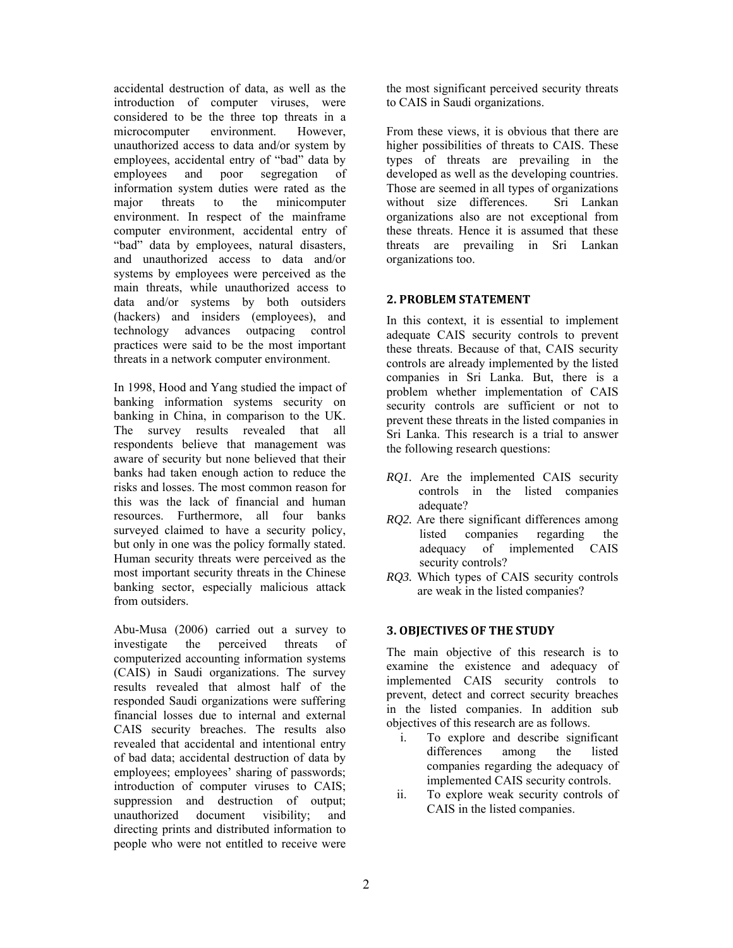accidental destruction of data, as well as the introduction of computer viruses, were considered to be the three top threats in a microcomputer environment. However, unauthorized access to data and/or system by employees, accidental entry of "bad" data by employees and poor segregation of information system duties were rated as the major threats to the minicomputer environment. In respect of the mainframe computer environment, accidental entry of "bad" data by employees, natural disasters, and unauthorized access to data and/or systems by employees were perceived as the main threats, while unauthorized access to data and/or systems by both outsiders (hackers) and insiders (employees), and technology advances outpacing control practices were said to be the most important threats in a network computer environment.

In 1998, Hood and Yang studied the impact of banking information systems security on banking in China, in comparison to the UK. The survey results revealed that all respondents believe that management was aware of security but none believed that their banks had taken enough action to reduce the risks and losses. The most common reason for this was the lack of financial and human resources. Furthermore, all four banks surveyed claimed to have a security policy, but only in one was the policy formally stated. Human security threats were perceived as the most important security threats in the Chinese banking sector, especially malicious attack from outsiders.

Abu-Musa (2006) carried out a survey to investigate the perceived threats of computerized accounting information systems (CAIS) in Saudi organizations. The survey results revealed that almost half of the responded Saudi organizations were suffering financial losses due to internal and external CAIS security breaches. The results also revealed that accidental and intentional entry of bad data; accidental destruction of data by employees; employees' sharing of passwords; introduction of computer viruses to CAIS; suppression and destruction of output; unauthorized document visibility; and directing prints and distributed information to people who were not entitled to receive were the most significant perceived security threats to CAIS in Saudi organizations.

From these views, it is obvious that there are higher possibilities of threats to CAIS. These types of threats are prevailing in the developed as well as the developing countries. Those are seemed in all types of organizations without size differences. Sri Lankan organizations also are not exceptional from these threats. Hence it is assumed that these threats are prevailing in Sri Lankan organizations too.

## **2. PROBLEM STATEMENT**

In this context, it is essential to implement adequate CAIS security controls to prevent these threats. Because of that, CAIS security controls are already implemented by the listed companies in Sri Lanka. But, there is a problem whether implementation of CAIS security controls are sufficient or not to prevent these threats in the listed companies in Sri Lanka. This research is a trial to answer the following research questions:

- *RQ1*. Are the implemented CAIS security controls in the listed companies adequate?
- *RQ2.* Are there significant differences among listed companies regarding the adequacy of implemented CAIS security controls?
- *RQ3.* Which types of CAIS security controls are weak in the listed companies?

# **3. OBJECTIVES OF THE STUDY**

The main objective of this research is to examine the existence and adequacy of implemented CAIS security controls to prevent, detect and correct security breaches in the listed companies. In addition sub objectives of this research are as follows.

- i. To explore and describe significant differences among the listed companies regarding the adequacy of implemented CAIS security controls.
- ii. To explore weak security controls of CAIS in the listed companies.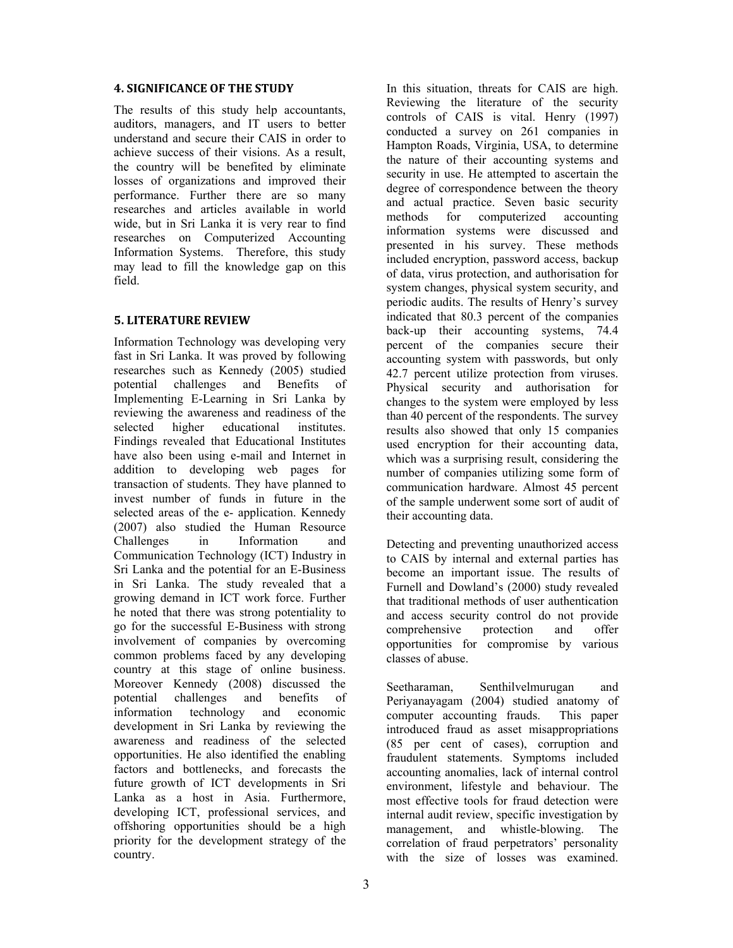#### **4. SIGNIFICANCE OF THE STUDY**

The results of this study help accountants, auditors, managers, and IT users to better understand and secure their CAIS in order to achieve success of their visions. As a result, the country will be benefited by eliminate losses of organizations and improved their performance. Further there are so many researches and articles available in world wide, but in Sri Lanka it is very rear to find researches on Computerized Accounting Information Systems. Therefore, this study may lead to fill the knowledge gap on this field.

## **5. LITERATURE REVIEW**

Information Technology was developing very fast in Sri Lanka. It was proved by following researches such as Kennedy (2005) studied potential challenges and Benefits of Implementing E-Learning in Sri Lanka by reviewing the awareness and readiness of the selected higher educational institutes. Findings revealed that Educational Institutes have also been using e-mail and Internet in addition to developing web pages for transaction of students. They have planned to invest number of funds in future in the selected areas of the e- application. Kennedy (2007) also studied the Human Resource Challenges in Information and Communication Technology (ICT) Industry in Sri Lanka and the potential for an E-Business in Sri Lanka. The study revealed that a growing demand in ICT work force. Further he noted that there was strong potentiality to go for the successful E-Business with strong involvement of companies by overcoming common problems faced by any developing country at this stage of online business. Moreover Kennedy (2008) discussed the potential challenges and benefits of information technology and economic development in Sri Lanka by reviewing the awareness and readiness of the selected opportunities. He also identified the enabling factors and bottlenecks, and forecasts the future growth of ICT developments in Sri Lanka as a host in Asia. Furthermore, developing ICT, professional services, and offshoring opportunities should be a high priority for the development strategy of the country.

In this situation, threats for CAIS are high. Reviewing the literature of the security controls of CAIS is vital. Henry (1997) conducted a survey on 261 companies in Hampton Roads, Virginia, USA, to determine the nature of their accounting systems and security in use. He attempted to ascertain the degree of correspondence between the theory and actual practice. Seven basic security methods for computerized accounting information systems were discussed and presented in his survey. These methods included encryption, password access, backup of data, virus protection, and authorisation for system changes, physical system security, and periodic audits. The results of Henry's survey indicated that 80.3 percent of the companies back-up their accounting systems, 74.4 percent of the companies secure their accounting system with passwords, but only 42.7 percent utilize protection from viruses. Physical security and authorisation for changes to the system were employed by less than 40 percent of the respondents. The survey results also showed that only 15 companies used encryption for their accounting data, which was a surprising result, considering the number of companies utilizing some form of communication hardware. Almost 45 percent of the sample underwent some sort of audit of their accounting data.

Detecting and preventing unauthorized access to CAIS by internal and external parties has become an important issue. The results of Furnell and Dowland's (2000) study revealed that traditional methods of user authentication and access security control do not provide comprehensive protection and offer opportunities for compromise by various classes of abuse.

Seetharaman, Senthilvelmurugan and Periyanayagam (2004) studied anatomy of computer accounting frauds. This paper introduced fraud as asset misappropriations (85 per cent of cases), corruption and fraudulent statements. Symptoms included accounting anomalies, lack of internal control environment, lifestyle and behaviour. The most effective tools for fraud detection were internal audit review, specific investigation by management, and whistle-blowing. The correlation of fraud perpetrators' personality with the size of losses was examined.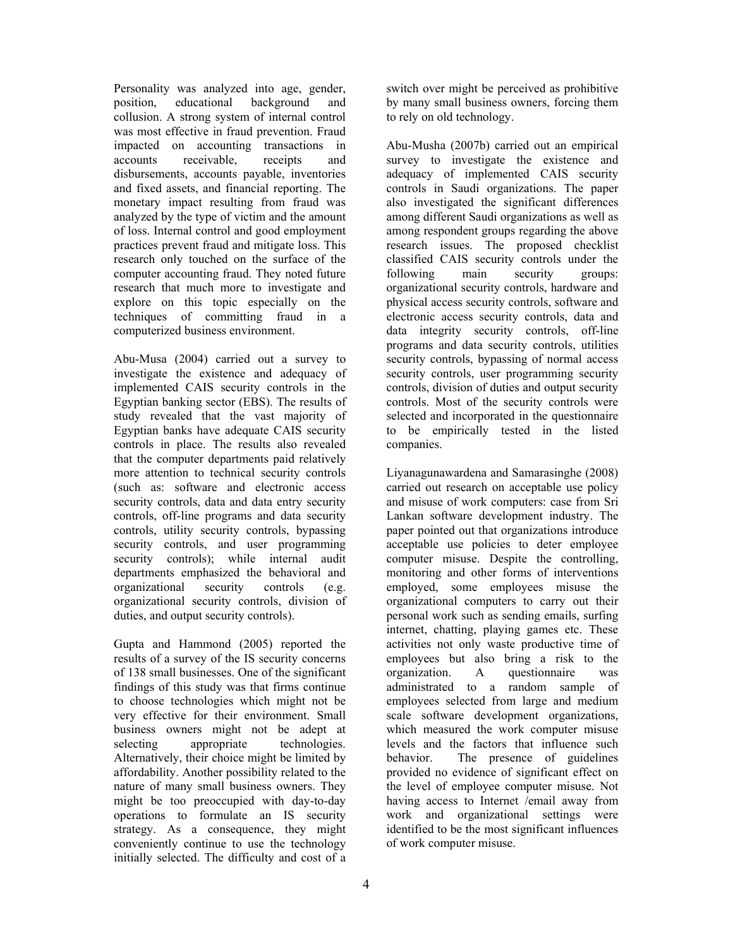Personality was analyzed into age, gender, position, educational background and collusion. A strong system of internal control was most effective in fraud prevention. Fraud impacted on accounting transactions in accounts receivable, receipts and disbursements, accounts payable, inventories and fixed assets, and financial reporting. The monetary impact resulting from fraud was analyzed by the type of victim and the amount of loss. Internal control and good employment practices prevent fraud and mitigate loss. This research only touched on the surface of the computer accounting fraud. They noted future research that much more to investigate and explore on this topic especially on the techniques of committing fraud in a computerized business environment.

Abu-Musa (2004) carried out a survey to investigate the existence and adequacy of implemented CAIS security controls in the Egyptian banking sector (EBS). The results of study revealed that the vast majority of Egyptian banks have adequate CAIS security controls in place. The results also revealed that the computer departments paid relatively more attention to technical security controls (such as: software and electronic access security controls, data and data entry security controls, off-line programs and data security controls, utility security controls, bypassing security controls, and user programming security controls); while internal audit departments emphasized the behavioral and organizational security controls (e.g. organizational security controls, division of duties, and output security controls).

Gupta and Hammond (2005) reported the results of a survey of the IS security concerns of 138 small businesses. One of the significant findings of this study was that firms continue to choose technologies which might not be very effective for their environment. Small business owners might not be adept at selecting appropriate technologies. Alternatively, their choice might be limited by affordability. Another possibility related to the nature of many small business owners. They might be too preoccupied with day-to-day operations to formulate an IS security strategy. As a consequence, they might conveniently continue to use the technology initially selected. The difficulty and cost of a switch over might be perceived as prohibitive by many small business owners, forcing them to rely on old technology.

Abu-Musha (2007b) carried out an empirical survey to investigate the existence and adequacy of implemented CAIS security controls in Saudi organizations. The paper also investigated the significant differences among different Saudi organizations as well as among respondent groups regarding the above research issues. The proposed checklist classified CAIS security controls under the following main security groups: organizational security controls, hardware and physical access security controls, software and electronic access security controls, data and data integrity security controls, off-line programs and data security controls, utilities security controls, bypassing of normal access security controls, user programming security controls, division of duties and output security controls. Most of the security controls were selected and incorporated in the questionnaire to be empirically tested in the listed companies.

Liyanagunawardena and Samarasinghe (2008) carried out research on acceptable use policy and misuse of work computers: case from Sri Lankan software development industry. The paper pointed out that organizations introduce acceptable use policies to deter employee computer misuse. Despite the controlling, monitoring and other forms of interventions employed, some employees misuse the organizational computers to carry out their personal work such as sending emails, surfing internet, chatting, playing games etc. These activities not only waste productive time of employees but also bring a risk to the organization. A questionnaire was administrated to a random sample of employees selected from large and medium scale software development organizations, which measured the work computer misuse levels and the factors that influence such behavior. The presence of guidelines provided no evidence of significant effect on the level of employee computer misuse. Not having access to Internet /email away from work and organizational settings were identified to be the most significant influences of work computer misuse.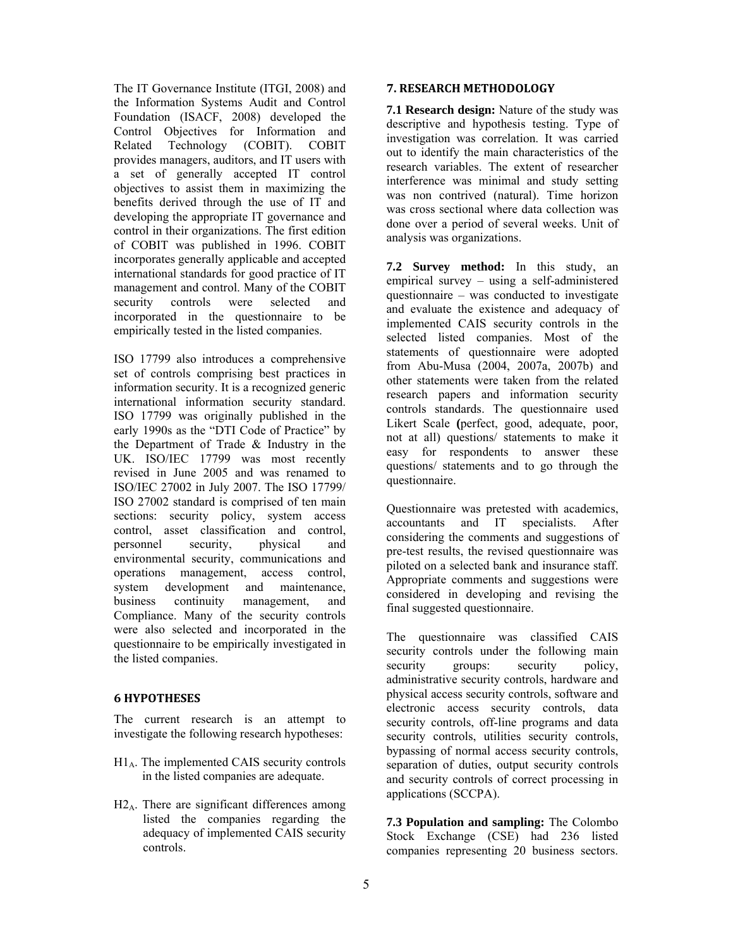The IT Governance Institute (ITGI, 2008) and the Information Systems Audit and Control Foundation (ISACF, 2008) developed the Control Objectives for Information and Related Technology (COBIT). COBIT provides managers, auditors, and IT users with a set of generally accepted IT control objectives to assist them in maximizing the benefits derived through the use of IT and developing the appropriate IT governance and control in their organizations. The first edition of COBIT was published in 1996. COBIT incorporates generally applicable and accepted international standards for good practice of IT management and control. Many of the COBIT security controls were selected and incorporated in the questionnaire to be empirically tested in the listed companies.

ISO 17799 also introduces a comprehensive set of controls comprising best practices in information security. It is a recognized generic international information security standard. ISO 17799 was originally published in the early 1990s as the "DTI Code of Practice" by the Department of Trade & Industry in the UK. ISO/IEC 17799 was most recently revised in June 2005 and was renamed to ISO/IEC 27002 in July 2007. The ISO 17799/ ISO 27002 standard is comprised of ten main sections: security policy, system access control, asset classification and control, personnel security, physical and environmental security, communications and operations management, access control, system development and maintenance, business continuity management, and Compliance. Many of the security controls were also selected and incorporated in the questionnaire to be empirically investigated in the listed companies.

# **6 HYPOTHESES**

The current research is an attempt to investigate the following research hypotheses:

- $H1_A$ . The implemented CAIS security controls in the listed companies are adequate.
- $H2_A$ . There are significant differences among listed the companies regarding the adequacy of implemented CAIS security controls.

#### **7. RESEARCH METHODOLOGY**

**7.1 Research design:** Nature of the study was descriptive and hypothesis testing. Type of investigation was correlation. It was carried out to identify the main characteristics of the research variables. The extent of researcher interference was minimal and study setting was non contrived (natural). Time horizon was cross sectional where data collection was done over a period of several weeks. Unit of analysis was organizations.

**7.2 Survey method:** In this study, an empirical survey – using a self-administered questionnaire – was conducted to investigate and evaluate the existence and adequacy of implemented CAIS security controls in the selected listed companies. Most of the statements of questionnaire were adopted from Abu-Musa (2004, 2007a, 2007b) and other statements were taken from the related research papers and information security controls standards. The questionnaire used Likert Scale **(**perfect, good, adequate, poor, not at all) questions/ statements to make it easy for respondents to answer these questions/ statements and to go through the questionnaire.

Questionnaire was pretested with academics, accountants and IT specialists. After considering the comments and suggestions of pre-test results, the revised questionnaire was piloted on a selected bank and insurance staff. Appropriate comments and suggestions were considered in developing and revising the final suggested questionnaire.

The questionnaire was classified CAIS security controls under the following main security groups: security policy, administrative security controls, hardware and physical access security controls, software and electronic access security controls, data security controls, off-line programs and data security controls, utilities security controls, bypassing of normal access security controls, separation of duties, output security controls and security controls of correct processing in applications (SCCPA).

**7.3 Population and sampling:** The Colombo Stock Exchange (CSE) had 236 listed companies representing 20 business sectors.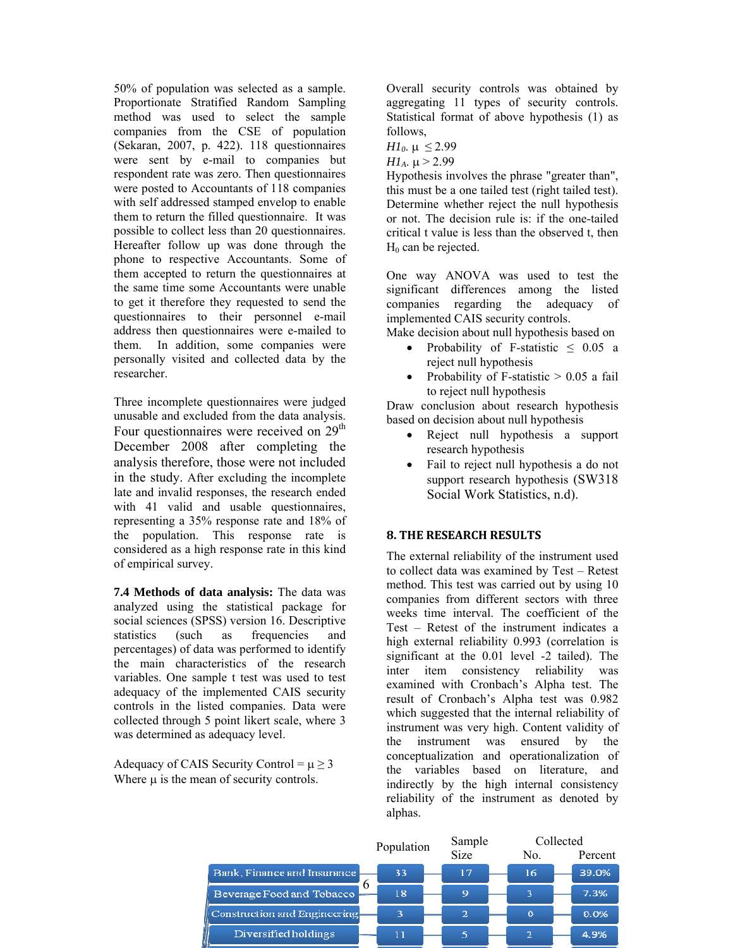50% of population was selected as a sample. Proportionate Stratified Random Sampling method was used to select the sample companies from the CSE of population (Sekaran, 2007, p. 422). 118 questionnaires were sent by e-mail to companies but respondent rate was zero. Then questionnaires were posted to Accountants of 118 companies with self addressed stamped envelop to enable them to return the filled questionnaire. It was possible to collect less than 20 questionnaires. Hereafter follow up was done through the phone to respective Accountants. Some of them accepted to return the questionnaires at the same time some Accountants were unable to get it therefore they requested to send the questionnaires to their personnel e-mail address then questionnaires were e-mailed to them. In addition, some companies were personally visited and collected data by the researcher.

Three incomplete questionnaires were judged unusable and excluded from the data analysis. Four questionnaires were received on 29<sup>th</sup> December 2008 after completing the analysis therefore, those were not included in the study. After excluding the incomplete late and invalid responses, the research ended with 41 valid and usable questionnaires, representing a 35% response rate and 18% of the population. This response rate is considered as a high response rate in this kind of empirical survey.

**7.4 Methods of data analysis:** The data was analyzed using the statistical package for social sciences (SPSS) version 16. Descriptive statistics (such as frequencies and percentages) of data was performed to identify the main characteristics of the research variables. One sample t test was used to test adequacy of the implemented CAIS security controls in the listed companies. Data were collected through 5 point likert scale, where 3 was determined as adequacy level.

Adequacy of CAIS Security Control =  $\mu \ge 3$ Where  $\mu$  is the mean of security controls.

Overall security controls was obtained by aggregating 11 types of security controls. Statistical format of above hypothesis (1) as follows,

*H1*<sub>0</sub>.  $\mu \leq 2.99$ 

*H<sub>1</sub>*.  $\mu$  > 2.99

Hypothesis involves the phrase "greater than", this must be a one tailed test (right tailed test). Determine whether reject the null hypothesis or not. The decision rule is: if the one-tailed critical t value is less than the observed t, then  $H_0$  can be rejected.

One way ANOVA was used to test the significant differences among the listed companies regarding the adequacy of implemented CAIS security controls.

Make decision about null hypothesis based on

- Probability of F-statistic  $\leq$  0.05 a reject null hypothesis
- Probability of F-statistic  $> 0.05$  a fail to reject null hypothesis

Draw conclusion about research hypothesis based on decision about null hypothesis

- Reject null hypothesis a support research hypothesis
- Fail to reject null hypothesis a do not support research hypothesis (SW318 Social Work Statistics, n.d).

# **8. THE RESEARCH RESULTS**

The external reliability of the instrument used to collect data was examined by Test – Retest method. This test was carried out by using 10 companies from different sectors with three weeks time interval. The coefficient of the Test – Retest of the instrument indicates a high external reliability 0.993 (correlation is significant at the 0.01 level -2 tailed). The inter item consistency reliability was examined with Cronbach's Alpha test. The result of Cronbach's Alpha test was 0.982 which suggested that the internal reliability of instrument was very high. Content validity of the instrument was ensured by the conceptualization and operationalization of the variables based on literature, and indirectly by the high internal consistency reliability of the instrument as denoted by alphas.

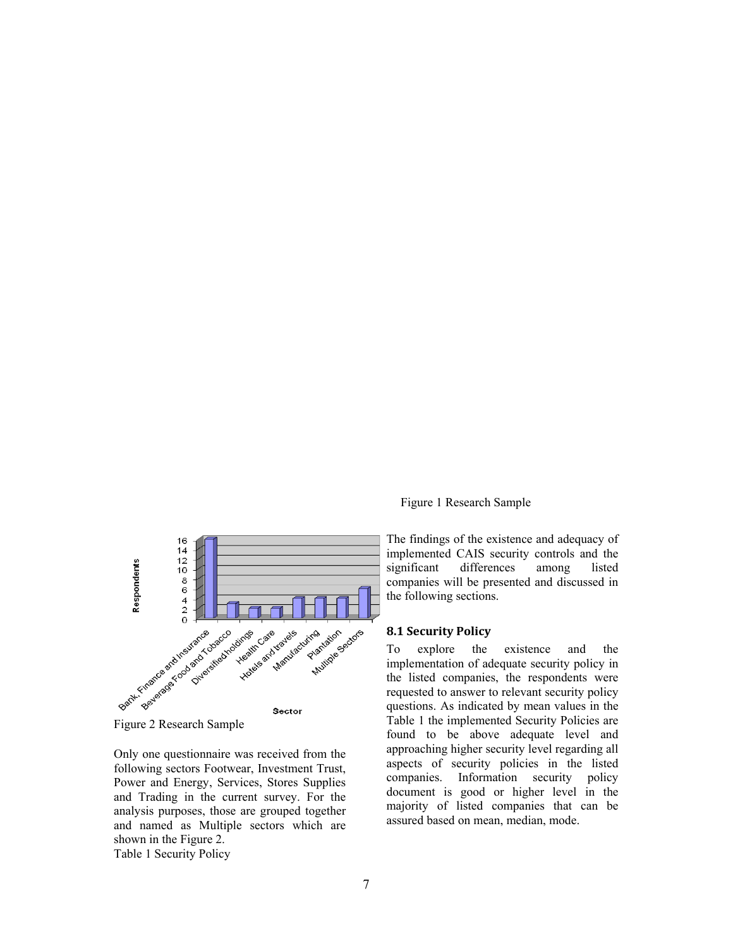

Only one questionnaire was received from the following sectors Footwear, Investment Trust, Power and Energy, Services, Stores Supplies and Trading in the current survey. For the analysis purposes, those are grouped together and named as Multiple sectors which are shown in the Figure 2.

Table 1 Security Policy

Figure 1 Research Sample

The findings of the existence and adequacy of implemented CAIS security controls and the significant differences among listed companies will be presented and discussed in the following sections.

#### **8.1 Security Policy**

To explore the existence and the implementation of adequate security policy in the listed companies, the respondents were requested to answer to relevant security policy questions. As indicated by mean values in the Table 1 the implemented Security Policies are found to be above adequate level and approaching higher security level regarding all aspects of security policies in the listed companies. Information security policy document is good or higher level in the majority of listed companies that can be assured based on mean, median, mode.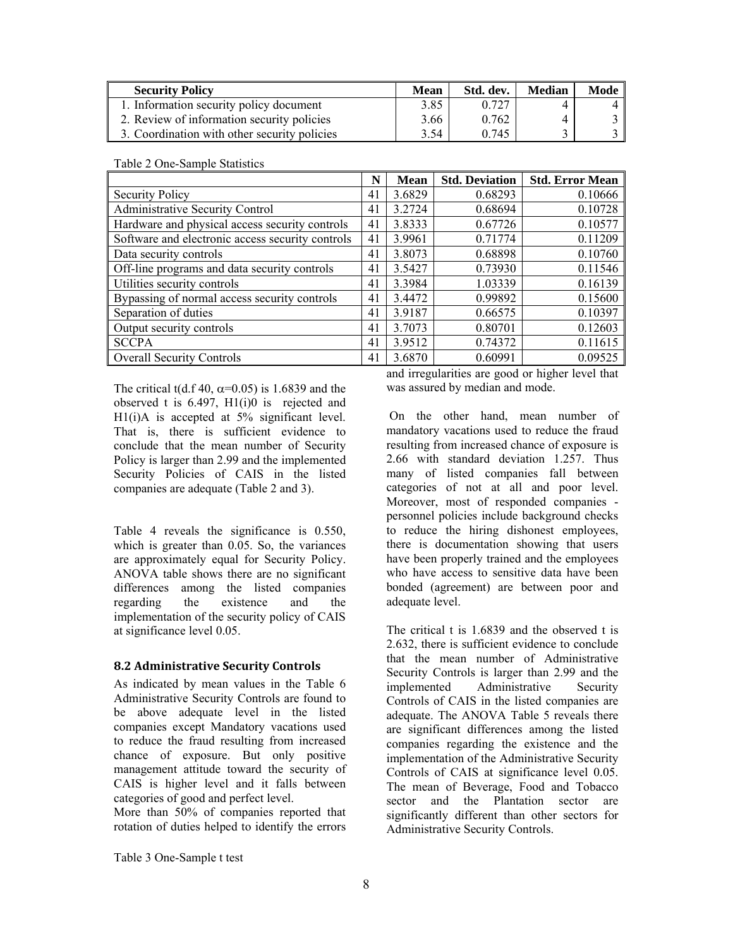| <b>Security Policy</b>                       | Mean | Std. dev. | <b>Median</b> | Mode |
|----------------------------------------------|------|-----------|---------------|------|
| 1. Information security policy document      | 3.85 | 0.727     |               | 4 I  |
| 2. Review of information security policies   | 3.66 | 0.762     | 4             |      |
| 3. Coordination with other security policies | 3.54 | 0.745     |               |      |

|                                                  | N  | Mean   | <b>Std. Deviation</b> | <b>Std. Error Mean</b> |
|--------------------------------------------------|----|--------|-----------------------|------------------------|
| <b>Security Policy</b>                           | 41 | 3.6829 | 0.68293               | 0.10666                |
| Administrative Security Control                  | 41 | 3.2724 | 0.68694               | 0.10728                |
| Hardware and physical access security controls   | 41 | 3.8333 | 0.67726               | 0.10577                |
| Software and electronic access security controls | 41 | 3.9961 | 0.71774               | 0.11209                |
| Data security controls                           | 41 | 3.8073 | 0.68898               | 0.10760                |
| Off-line programs and data security controls     | 41 | 3.5427 | 0.73930               | 0.11546                |
| Utilities security controls                      | 41 | 3.3984 | 1.03339               | 0.16139                |
| Bypassing of normal access security controls     | 41 | 3.4472 | 0.99892               | 0.15600                |
| Separation of duties                             | 41 | 3.9187 | 0.66575               | 0.10397                |
| Output security controls                         | 41 | 3.7073 | 0.80701               | 0.12603                |
| <b>SCCPA</b>                                     | 41 | 3.9512 | 0.74372               | 0.11615                |
| <b>Overall Security Controls</b>                 | 41 | 3.6870 | 0.60991               | 0.09525                |

Table 2 One-Sample Statistics

The critical t(d.f 40,  $\alpha$ =0.05) is 1.6839 and the observed t is 6.497, H1(i)0 is rejected and H<sub>1</sub>(i)A is accepted at 5% significant level. That is, there is sufficient evidence to conclude that the mean number of Security Policy is larger than 2.99 and the implemented Security Policies of CAIS in the listed companies are adequate (Table 2 and 3).

Table 4 reveals the significance is 0.550, which is greater than 0.05. So, the variances are approximately equal for Security Policy. ANOVA table shows there are no significant differences among the listed companies regarding the existence and the implementation of the security policy of CAIS at significance level 0.05.

#### **8.2 Administrative Security Controls**

As indicated by mean values in the Table 6 Administrative Security Controls are found to be above adequate level in the listed companies except Mandatory vacations used to reduce the fraud resulting from increased chance of exposure. But only positive management attitude toward the security of CAIS is higher level and it falls between categories of good and perfect level.

More than 50% of companies reported that rotation of duties helped to identify the errors and irregularities are good or higher level that was assured by median and mode.

 On the other hand, mean number of mandatory vacations used to reduce the fraud resulting from increased chance of exposure is 2.66 with standard deviation 1.257. Thus many of listed companies fall between categories of not at all and poor level. Moreover, most of responded companies personnel policies include background checks to reduce the hiring dishonest employees, there is documentation showing that users have been properly trained and the employees who have access to sensitive data have been bonded (agreement) are between poor and adequate level.

The critical t is 1.6839 and the observed t is 2.632, there is sufficient evidence to conclude that the mean number of Administrative Security Controls is larger than 2.99 and the implemented Administrative Security Controls of CAIS in the listed companies are adequate. The ANOVA Table 5 reveals there are significant differences among the listed companies regarding the existence and the implementation of the Administrative Security Controls of CAIS at significance level 0.05. The mean of Beverage, Food and Tobacco sector and the Plantation sector are significantly different than other sectors for Administrative Security Controls.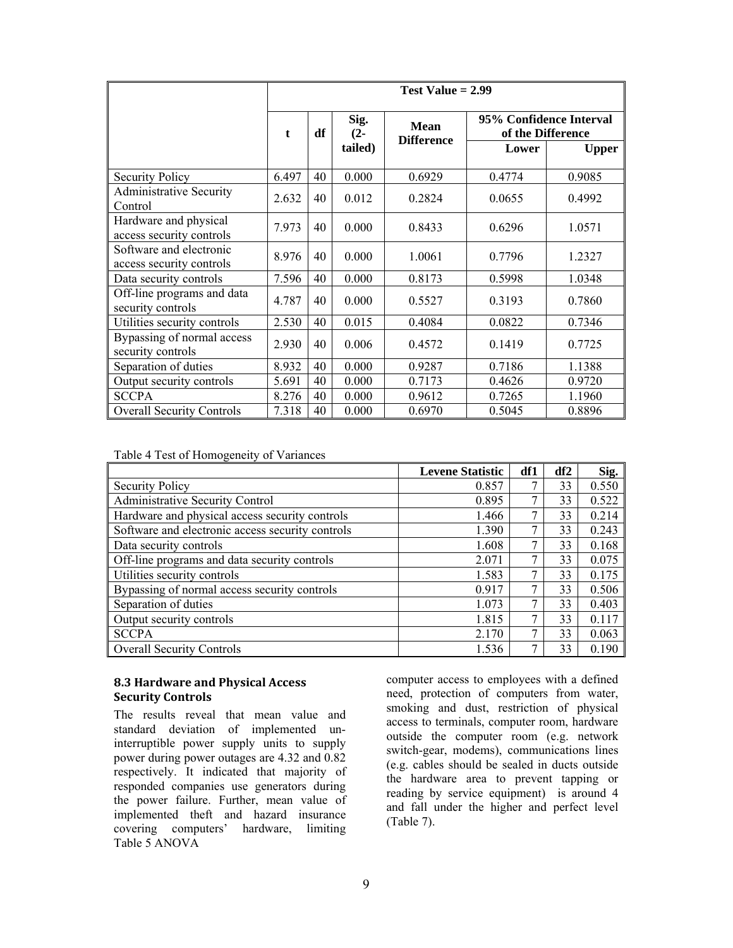|                                                     | Test Value $= 2.99$ |    |                |                                  |        |                                              |  |
|-----------------------------------------------------|---------------------|----|----------------|----------------------------------|--------|----------------------------------------------|--|
|                                                     | t                   | df | Sig.<br>$(2 -$ | <b>Mean</b><br><b>Difference</b> |        | 95% Confidence Interval<br>of the Difference |  |
|                                                     |                     |    | tailed)        |                                  | Lower  | <b>Upper</b>                                 |  |
| <b>Security Policy</b>                              | 6.497               | 40 | 0.000          | 0.6929                           | 0.4774 | 0.9085                                       |  |
| <b>Administrative Security</b><br>Control           | 2.632               | 40 | 0.012          | 0.2824                           | 0.0655 | 0.4992                                       |  |
| Hardware and physical<br>access security controls   | 7.973               | 40 | 0.000          | 0.8433                           | 0.6296 | 1.0571                                       |  |
| Software and electronic<br>access security controls | 8.976               | 40 | 0.000          | 1.0061                           | 0.7796 | 1.2327                                       |  |
| Data security controls                              | 7.596               | 40 | 0.000          | 0.8173                           | 0.5998 | 1.0348                                       |  |
| Off-line programs and data<br>security controls     | 4.787               | 40 | 0.000          | 0.5527                           | 0.3193 | 0.7860                                       |  |
| Utilities security controls                         | 2.530               | 40 | 0.015          | 0.4084                           | 0.0822 | 0.7346                                       |  |
| Bypassing of normal access<br>security controls     | 2.930               | 40 | 0.006          | 0.4572                           | 0.1419 | 0.7725                                       |  |
| Separation of duties                                | 8.932               | 40 | 0.000          | 0.9287                           | 0.7186 | 1.1388                                       |  |
| Output security controls                            | 5.691               | 40 | 0.000          | 0.7173                           | 0.4626 | 0.9720                                       |  |
| <b>SCCPA</b>                                        | 8.276               | 40 | 0.000          | 0.9612                           | 0.7265 | 1.1960                                       |  |
| <b>Overall Security Controls</b>                    | 7.318               | 40 | 0.000          | 0.6970                           | 0.5045 | 0.8896                                       |  |

Table 4 Test of Homogeneity of Variances

|                                                  | <b>Levene Statistic</b> | df1 | df2 | Sig.  |
|--------------------------------------------------|-------------------------|-----|-----|-------|
| <b>Security Policy</b>                           | 0.857                   | 7   | 33  | 0.550 |
| Administrative Security Control                  | 0.895                   | 7   | 33  | 0.522 |
| Hardware and physical access security controls   | 1.466                   | 7   | 33  | 0.214 |
| Software and electronic access security controls | 1.390                   | 7   | 33  | 0.243 |
| Data security controls                           | 1.608                   | ┑   | 33  | 0.168 |
| Off-line programs and data security controls     | 2.071                   | 7   | 33  | 0.075 |
| Utilities security controls                      | 1.583                   | 7   | 33  | 0.175 |
| Bypassing of normal access security controls     | 0.917                   | 7   | 33  | 0.506 |
| Separation of duties                             | 1.073                   | 7   | 33  | 0.403 |
| Output security controls                         | 1.815                   | 7   | 33  | 0.117 |
| <b>SCCPA</b>                                     | 2.170                   | 7   | 33  | 0.063 |
| <b>Overall Security Controls</b>                 | 1.536                   | 7   | 33  | 0.190 |

#### **8.3 Hardware and Physical Access Security Controls**

The results reveal that mean value and standard deviation of implemented uninterruptible power supply units to supply power during power outages are 4.32 and 0.82 respectively. It indicated that majority of responded companies use generators during the power failure. Further, mean value of implemented theft and hazard insurance covering computers' hardware, limiting Table 5 ANOVA

computer access to employees with a defined need, protection of computers from water, smoking and dust, restriction of physical access to terminals, computer room, hardware outside the computer room (e.g. network switch-gear, modems), communications lines (e.g. cables should be sealed in ducts outside the hardware area to prevent tapping or reading by service equipment) is around 4 and fall under the higher and perfect level (Table 7).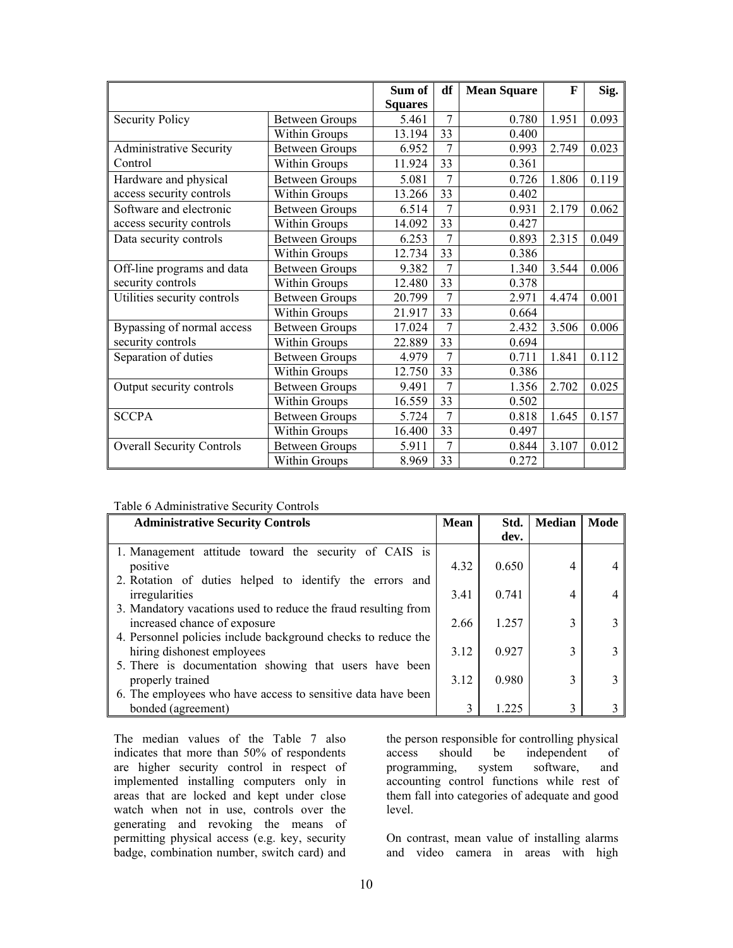|                                  |                       | Sum of         | df             | <b>Mean Square</b> | $\mathbf{F}$ | Sig.  |
|----------------------------------|-----------------------|----------------|----------------|--------------------|--------------|-------|
|                                  |                       | <b>Squares</b> |                |                    |              |       |
| <b>Security Policy</b>           | <b>Between Groups</b> | 5.461          | 7              | 0.780              | 1.951        | 0.093 |
|                                  | Within Groups         | 13.194         | 33             | 0.400              |              |       |
| <b>Administrative Security</b>   | <b>Between Groups</b> | 6.952          | 7              | 0.993              | 2.749        | 0.023 |
| Control                          | Within Groups         | 11.924         | 33             | 0.361              |              |       |
| Hardware and physical            | <b>Between Groups</b> | 5.081          | $\overline{7}$ | 0.726              | 1.806        | 0.119 |
| access security controls         | Within Groups         | 13.266         | 33             | 0.402              |              |       |
| Software and electronic          | <b>Between Groups</b> | 6.514          | $\overline{7}$ | 0.931              | 2.179        | 0.062 |
| access security controls         | Within Groups         | 14.092         | 33             | 0.427              |              |       |
| Data security controls           | <b>Between Groups</b> | 6.253          | 7              | 0.893              | 2.315        | 0.049 |
|                                  | Within Groups         | 12.734         | 33             | 0.386              |              |       |
| Off-line programs and data       | <b>Between Groups</b> | 9.382          |                | 1.340              | 3.544        | 0.006 |
| security controls                | Within Groups         | 12.480         | 33             | 0.378              |              |       |
| Utilities security controls      | <b>Between Groups</b> | 20.799         | $\overline{7}$ | 2.971              | 4.474        | 0.001 |
|                                  | Within Groups         | 21.917         | 33             | 0.664              |              |       |
| Bypassing of normal access       | <b>Between Groups</b> | 17.024         | 7              | 2.432              | 3.506        | 0.006 |
| security controls                | Within Groups         | 22.889         | 33             | 0.694              |              |       |
| Separation of duties             | <b>Between Groups</b> | 4.979          |                | 0.711              | 1.841        | 0.112 |
|                                  | Within Groups         | 12.750         | 33             | 0.386              |              |       |
| Output security controls         | <b>Between Groups</b> | 9.491          | $\overline{7}$ | 1.356              | 2.702        | 0.025 |
|                                  | Within Groups         | 16.559         | 33             | 0.502              |              |       |
| <b>SCCPA</b>                     | <b>Between Groups</b> | 5.724          | 7              | 0.818              | 1.645        | 0.157 |
|                                  | Within Groups         | 16.400         | 33             | 0.497              |              |       |
| <b>Overall Security Controls</b> | Between Groups        | 5.911          | 7              | 0.844              | 3.107        | 0.012 |
|                                  | Within Groups         | 8.969          | 33             | 0.272              |              |       |

|  |  | Table 6 Administrative Security Controls |
|--|--|------------------------------------------|
|  |  |                                          |

| <b>Administrative Security Controls</b>                        | Mean | Std.  | <b>Median</b> | Mode |
|----------------------------------------------------------------|------|-------|---------------|------|
|                                                                |      | dev.  |               |      |
| 1. Management attitude toward the security of CAIS is          |      |       |               |      |
| positive                                                       | 4.32 | 0.650 | 4             |      |
| 2. Rotation of duties helped to identify the errors and        |      |       |               |      |
| irregularities                                                 | 3.41 | 0.741 | 4             |      |
| 3. Mandatory vacations used to reduce the fraud resulting from |      |       |               |      |
| increased chance of exposure                                   | 2.66 | 1.257 | 3             |      |
| 4. Personnel policies include background checks to reduce the  |      |       |               |      |
| hiring dishonest employees                                     | 3.12 | 0.927 | 3             |      |
| 5. There is documentation showing that users have been         |      |       |               |      |
| properly trained                                               | 3.12 | 0.980 | 3             |      |
| 6. The employees who have access to sensitive data have been   |      |       |               |      |
| bonded (agreement)                                             | 3    | 1.225 | 3             |      |

The median values of the Table 7 also indicates that more than 50% of respondents are higher security control in respect of implemented installing computers only in areas that are locked and kept under close watch when not in use, controls over the generating and revoking the means of permitting physical access (e.g. key, security badge, combination number, switch card) and

the person responsible for controlling physical access should be independent of programming, system software, and accounting control functions while rest of them fall into categories of adequate and good level.

On contrast, mean value of installing alarms and video camera in areas with high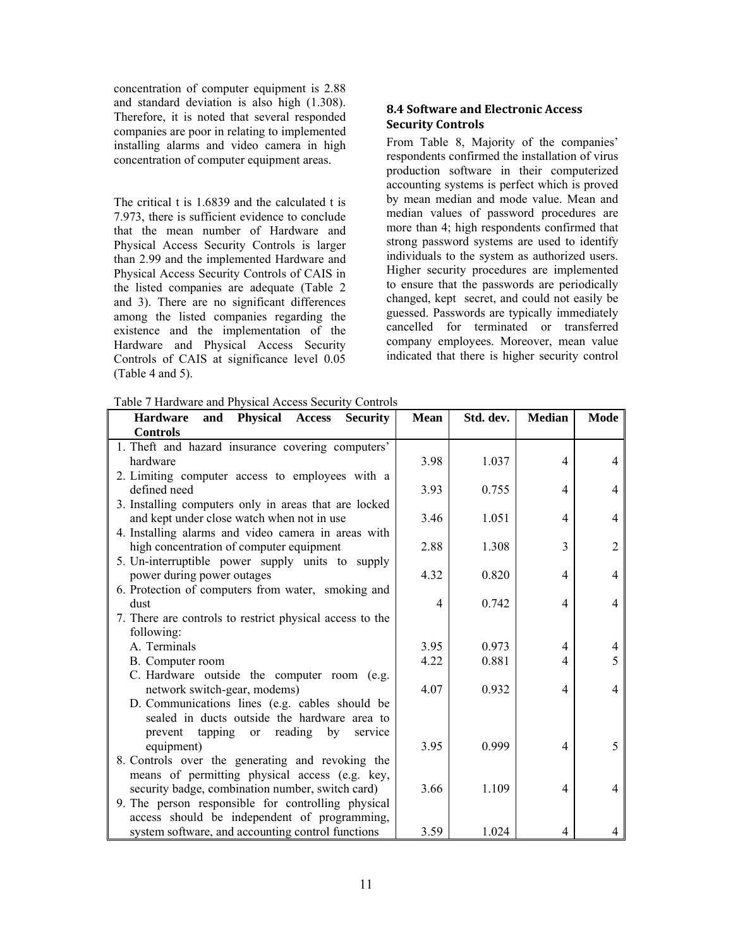concentration of computer equipment is 2.88 and standard deviation is also high (1.308). Therefore, it is noted that several responded companies are poor in relating to implemented installing alarms and video camera in high concentration of computer equipment areas.

The critical t is 1.6839 and the calculated t is 7.973, there is sufficient evidence to conclude that the mean number of Hardware and Physical Access Security Controls is larger than 2.99 and the implemented Hardware and Physical Access Security Controls of CAIS in the listed companies are adequate (Table 2 and 3). There are no significant differences among the listed companies regarding the existence and the implementation of the Hardware and Physical Access Security Controls of CAIS at significance level 0.05 (Table 4 and 5).

### **8.4 Software and Electronic Access Security Controls**

From Table 8, Majority of the companies' respondents confirmed the installation of virus production software in their computerized accounting systems is perfect which is proved by mean median and mode value. Mean and median values of password procedures are more than 4; high respondents confirmed that strong password systems are used to identify individuals to the system as authorized users. Higher security procedures are implemented to ensure that the passwords are periodically changed, kept secret, and could not easily be guessed. Passwords are typically immediately cancelled for terminated or transferred company employees. Moreover, mean value indicated that there is higher security control

Table 7 Hardware and Physical Access Security Controls

| <b>Hardware</b><br>and Physical Access<br><b>Security</b>       | <b>Mean</b> | Std. dev. | <b>Median</b>  | Mode           |
|-----------------------------------------------------------------|-------------|-----------|----------------|----------------|
| <b>Controls</b>                                                 |             |           |                |                |
| 1. Theft and hazard insurance covering computers'               |             |           |                |                |
| hardware                                                        | 3.98        | 1.037     | 4              | 4              |
| 2. Limiting computer access to employees with a                 |             |           |                |                |
| defined need                                                    | 3.93        | 0.755     | $\overline{4}$ | 4              |
| 3. Installing computers only in areas that are locked           |             |           |                |                |
| and kept under close watch when not in use                      | 3.46        | 1.051     | 4              | 4              |
| 4. Installing alarms and video camera in areas with             |             |           |                |                |
| high concentration of computer equipment                        | 2.88        | 1.308     | 3              | $\overline{2}$ |
| 5. Un-interruptible power supply units to supply                |             |           |                |                |
| power during power outages                                      | 4.32        | 0.820     | $\overline{4}$ | 4              |
| 6. Protection of computers from water, smoking and              |             |           |                |                |
| dust                                                            | 4           | 0.742     | 4              | 4              |
| 7. There are controls to restrict physical access to the        |             |           |                |                |
| following:                                                      |             |           |                |                |
| A. Terminals                                                    | 3.95        | 0.973     | 4              | 4              |
| B. Computer room                                                | 4.22        | 0.881     | 4              | 5              |
| C. Hardware outside the computer room (e.g.                     |             |           |                |                |
| network switch-gear, modems)                                    | 4.07        | 0.932     | $\overline{4}$ | $\overline{4}$ |
| D. Communications lines (e.g. cables should be                  |             |           |                |                |
| sealed in ducts outside the hardware area to                    |             |           |                |                |
| reading<br>by<br>tapping<br>prevent<br>service<br><sub>or</sub> |             |           |                |                |
| equipment)                                                      | 3.95        | 0.999     | 4              | 5              |
| 8. Controls over the generating and revoking the                |             |           |                |                |
| means of permitting physical access (e.g. key,                  |             |           |                |                |
| security badge, combination number, switch card)                | 3.66        | 1.109     | $\overline{4}$ | 4              |
| 9. The person responsible for controlling physical              |             |           |                |                |
| access should be independent of programming,                    |             |           |                |                |
| system software, and accounting control functions               | 3.59        | 1.024     | 4              |                |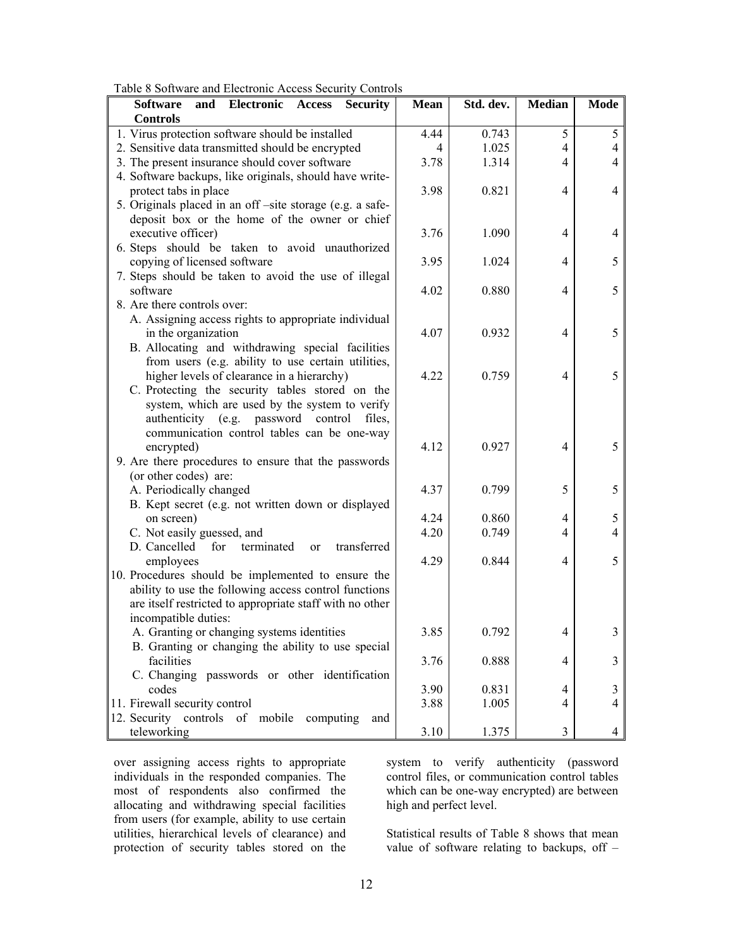| Table 8 Software and Electronic Access Security Controls |  |  |
|----------------------------------------------------------|--|--|
|----------------------------------------------------------|--|--|

| and Electronic<br><b>Software</b><br><b>Access</b><br><b>Security</b> | <b>Mean</b> | Std. dev. | <b>Median</b>            | <b>Mode</b>    |
|-----------------------------------------------------------------------|-------------|-----------|--------------------------|----------------|
| <b>Controls</b>                                                       |             |           |                          |                |
| 1. Virus protection software should be installed                      | 4.44        | 0.743     | 5                        | 5              |
| 2. Sensitive data transmitted should be encrypted                     | 4           | 1.025     | 4                        | 4              |
| 3. The present insurance should cover software                        | 3.78        | 1.314     | 4                        | 4              |
| 4. Software backups, like originals, should have write-               |             |           |                          |                |
| protect tabs in place                                                 | 3.98        | 0.821     | 4                        | 4              |
| 5. Originals placed in an off -site storage (e.g. a safe-             |             |           |                          |                |
| deposit box or the home of the owner or chief                         |             |           |                          |                |
| executive officer)                                                    | 3.76        | 1.090     | 4                        | 4              |
| 6. Steps should be taken to avoid unauthorized                        |             |           |                          |                |
| copying of licensed software                                          | 3.95        | 1.024     | 4                        | 5              |
| 7. Steps should be taken to avoid the use of illegal                  |             |           |                          |                |
| software                                                              | 4.02        | 0.880     | 4                        | 5              |
| 8. Are there controls over:                                           |             |           |                          |                |
| A. Assigning access rights to appropriate individual                  |             |           |                          |                |
| in the organization                                                   | 4.07        | 0.932     | 4                        | 5              |
| B. Allocating and withdrawing special facilities                      |             |           |                          |                |
| from users (e.g. ability to use certain utilities,                    |             |           |                          |                |
| higher levels of clearance in a hierarchy)                            | 4.22        | 0.759     | 4                        | 5              |
| C. Protecting the security tables stored on the                       |             |           |                          |                |
| system, which are used by the system to verify                        |             |           |                          |                |
| authenticity (e.g. password control<br>files,                         |             |           |                          |                |
| communication control tables can be one-way                           |             |           |                          |                |
| encrypted)                                                            | 4.12        | 0.927     | 4                        | 5              |
| 9. Are there procedures to ensure that the passwords                  |             |           |                          |                |
| (or other codes) are:                                                 |             |           |                          |                |
| A. Periodically changed                                               | 4.37        | 0.799     | 5                        | 5              |
| B. Kept secret (e.g. not written down or displayed                    |             |           |                          |                |
| on screen)                                                            | 4.24        | 0.860     | 4                        | 5              |
| C. Not easily guessed, and                                            | 4.20        | 0.749     | 4                        | 4              |
| D. Cancelled<br>for<br>terminated<br>transferred<br>or                |             |           |                          |                |
| employees                                                             | 4.29        | 0.844     | 4                        | 5              |
| 10. Procedures should be implemented to ensure the                    |             |           |                          |                |
| ability to use the following access control functions                 |             |           |                          |                |
| are itself restricted to appropriate staff with no other              |             |           |                          |                |
| incompatible duties:                                                  |             |           |                          |                |
| A. Granting or changing systems identities                            | 3.85        | 0.792     | 4                        | 3              |
| B. Granting or changing the ability to use special                    |             |           |                          |                |
| facilities                                                            | 3.76        | 0.888     | $\overline{\mathcal{A}}$ | 3              |
| C. Changing passwords or other identification                         |             |           |                          |                |
| codes                                                                 | 3.90        | 0.831     | 4                        | 3              |
| 11. Firewall security control                                         | 3.88        | 1.005     | $\overline{4}$           | $\overline{4}$ |
| 12. Security controls of mobile computing<br>and                      |             |           |                          |                |
| teleworking                                                           | 3.10        | 1.375     | 3                        | 4              |

over assigning access rights to appropriate individuals in the responded companies. The most of respondents also confirmed the allocating and withdrawing special facilities from users (for example, ability to use certain utilities, hierarchical levels of clearance) and protection of security tables stored on the system to verify authenticity (password control files, or communication control tables which can be one-way encrypted) are between high and perfect level.

Statistical results of Table 8 shows that mean value of software relating to backups, off –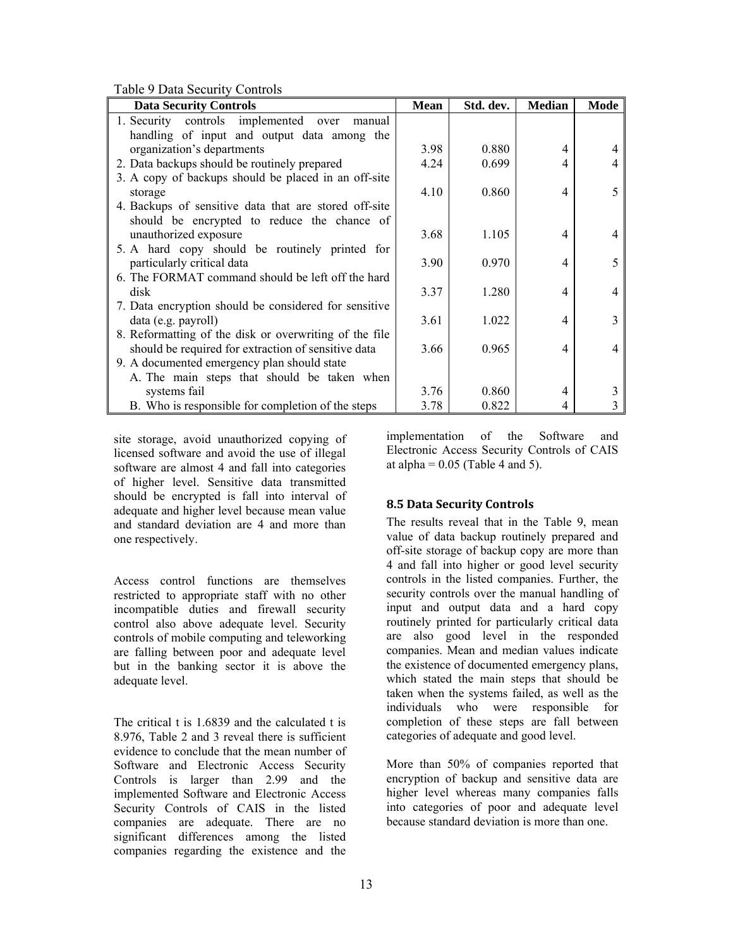Table 9 Data Security Controls

| $510 - 15$ and $500$ and $7$                           |             |           |               |             |
|--------------------------------------------------------|-------------|-----------|---------------|-------------|
| <b>Data Security Controls</b>                          | <b>Mean</b> | Std. dev. | <b>Median</b> | <b>Mode</b> |
| 1. Security controls implemented over<br>manual        |             |           |               |             |
| handling of input and output data among the            |             |           |               |             |
| organization's departments                             | 3.98        | 0.880     | 4             |             |
| 2. Data backups should be routinely prepared           | 4.24        | 0.699     | 4             |             |
| 3. A copy of backups should be placed in an off-site   |             |           |               |             |
| storage                                                | 4.10        | 0.860     | 4             | 5           |
| 4. Backups of sensitive data that are stored off-site  |             |           |               |             |
| should be encrypted to reduce the chance of            |             |           |               |             |
| unauthorized exposure                                  | 3.68        | 1.105     | 4             |             |
| 5. A hard copy should be routinely printed for         |             |           |               |             |
| particularly critical data                             | 3.90        | 0.970     | 4             | 5           |
| 6. The FORMAT command should be left off the hard      |             |           |               |             |
| disk                                                   | 3.37        | 1.280     | 4             | 4           |
| 7. Data encryption should be considered for sensitive  |             |           |               |             |
| data (e.g. payroll)                                    | 3.61        | 1.022     | 4             |             |
| 8. Reformatting of the disk or overwriting of the file |             |           |               |             |
| should be required for extraction of sensitive data    | 3.66        | 0.965     | 4             | 4           |
| 9. A documented emergency plan should state            |             |           |               |             |
| A. The main steps that should be taken when            |             |           |               |             |
| systems fail                                           | 3.76        | 0.860     | 4             | 3           |
| B. Who is responsible for completion of the steps      | 3.78        | 0.822     | 4             |             |

site storage, avoid unauthorized copying of licensed software and avoid the use of illegal software are almost 4 and fall into categories of higher level. Sensitive data transmitted should be encrypted is fall into interval of adequate and higher level because mean value and standard deviation are 4 and more than one respectively.

Access control functions are themselves restricted to appropriate staff with no other incompatible duties and firewall security control also above adequate level. Security controls of mobile computing and teleworking are falling between poor and adequate level but in the banking sector it is above the adequate level.

The critical t is 1.6839 and the calculated t is 8.976, Table 2 and 3 reveal there is sufficient evidence to conclude that the mean number of Software and Electronic Access Security Controls is larger than 2.99 and the implemented Software and Electronic Access Security Controls of CAIS in the listed companies are adequate. There are no significant differences among the listed companies regarding the existence and the

implementation of the Software and Electronic Access Security Controls of CAIS at alpha  $= 0.05$  (Table 4 and 5).

# **8.5 Data Security Controls**

The results reveal that in the Table 9, mean value of data backup routinely prepared and off-site storage of backup copy are more than 4 and fall into higher or good level security controls in the listed companies. Further, the security controls over the manual handling of input and output data and a hard copy routinely printed for particularly critical data are also good level in the responded companies. Mean and median values indicate the existence of documented emergency plans, which stated the main steps that should be taken when the systems failed, as well as the individuals who were responsible for completion of these steps are fall between categories of adequate and good level.

More than 50% of companies reported that encryption of backup and sensitive data are higher level whereas many companies falls into categories of poor and adequate level because standard deviation is more than one.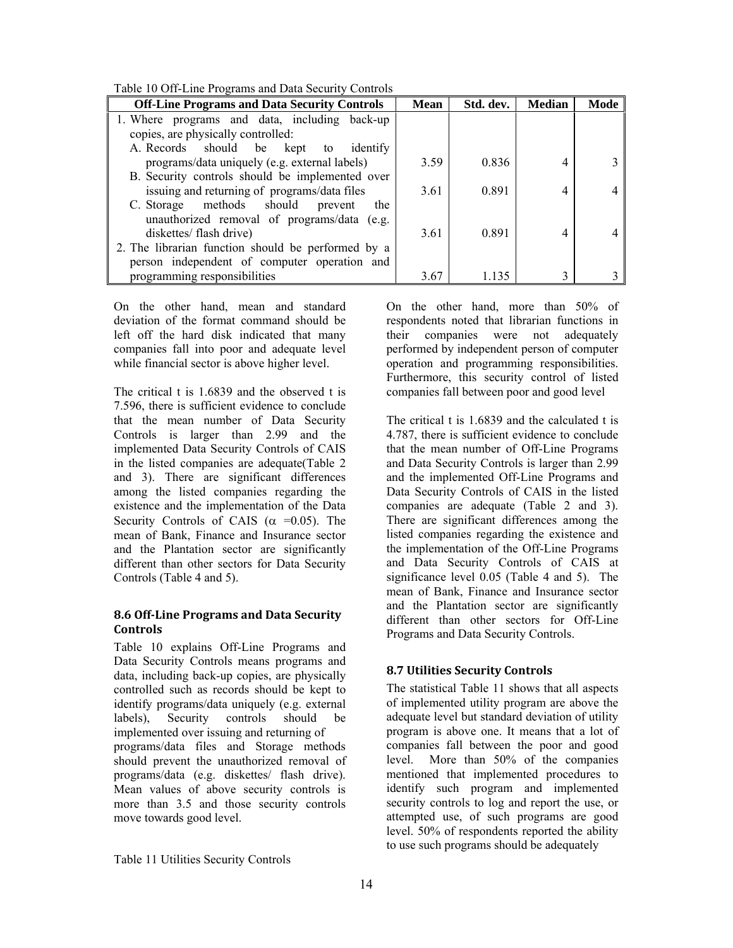Table 10 Off-Line Programs and Data Security Controls

| Tuble To One Emp I Toghamb and Data Security Controls |             |           |               |      |  |
|-------------------------------------------------------|-------------|-----------|---------------|------|--|
| <b>Off-Line Programs and Data Security Controls</b>   | <b>Mean</b> | Std. dev. | <b>Median</b> | Mode |  |
| 1. Where programs and data, including back-up         |             |           |               |      |  |
| copies, are physically controlled:                    |             |           |               |      |  |
| A. Records should be kept to<br>identify              |             |           |               |      |  |
| programs/data uniquely (e.g. external labels)         | 3.59        | 0.836     |               |      |  |
| B. Security controls should be implemented over       |             |           |               |      |  |
| issuing and returning of programs/data files          | 3.61        | 0.891     | 4             |      |  |
| C. Storage methods should<br>prevent<br>the           |             |           |               |      |  |
| unauthorized removal of programs/data (e.g.           |             |           |               |      |  |
| diskettes/flash drive)                                | 3.61        | 0.891     | 4             |      |  |
| 2. The librarian function should be performed by a    |             |           |               |      |  |
| person independent of computer operation and          |             |           |               |      |  |
| programming responsibilities                          | 3.67        | 1.135     | 3             |      |  |

On the other hand, mean and standard deviation of the format command should be left off the hard disk indicated that many companies fall into poor and adequate level while financial sector is above higher level.

The critical t is 1.6839 and the observed t is 7.596, there is sufficient evidence to conclude that the mean number of Data Security Controls is larger than 2.99 and the implemented Data Security Controls of CAIS in the listed companies are adequate(Table 2 and 3). There are significant differences among the listed companies regarding the existence and the implementation of the Data Security Controls of CAIS ( $\alpha$  =0.05). The mean of Bank, Finance and Insurance sector and the Plantation sector are significantly different than other sectors for Data Security Controls (Table 4 and 5).

#### **8.6 OffLine Programs and Data Security Controls**

Table 10 explains Off-Line Programs and Data Security Controls means programs and data, including back-up copies, are physically controlled such as records should be kept to identify programs/data uniquely (e.g. external labels), Security controls should be implemented over issuing and returning of programs/data files and Storage methods should prevent the unauthorized removal of programs/data (e.g. diskettes/ flash drive). Mean values of above security controls is more than 3.5 and those security controls move towards good level.

On the other hand, more than 50% of respondents noted that librarian functions in their companies were not adequately performed by independent person of computer operation and programming responsibilities. Furthermore, this security control of listed companies fall between poor and good level

The critical t is 1.6839 and the calculated t is 4.787, there is sufficient evidence to conclude that the mean number of Off-Line Programs and Data Security Controls is larger than 2.99 and the implemented Off-Line Programs and Data Security Controls of CAIS in the listed companies are adequate (Table 2 and 3). There are significant differences among the listed companies regarding the existence and the implementation of the Off-Line Programs and Data Security Controls of CAIS at significance level 0.05 (Table 4 and 5). The mean of Bank, Finance and Insurance sector and the Plantation sector are significantly different than other sectors for Off-Line Programs and Data Security Controls.

# **8.7 Utilities Security Controls**

The statistical Table 11 shows that all aspects of implemented utility program are above the adequate level but standard deviation of utility program is above one. It means that a lot of companies fall between the poor and good level. More than 50% of the companies mentioned that implemented procedures to identify such program and implemented security controls to log and report the use, or attempted use, of such programs are good level. 50% of respondents reported the ability to use such programs should be adequately

Table 11 Utilities Security Controls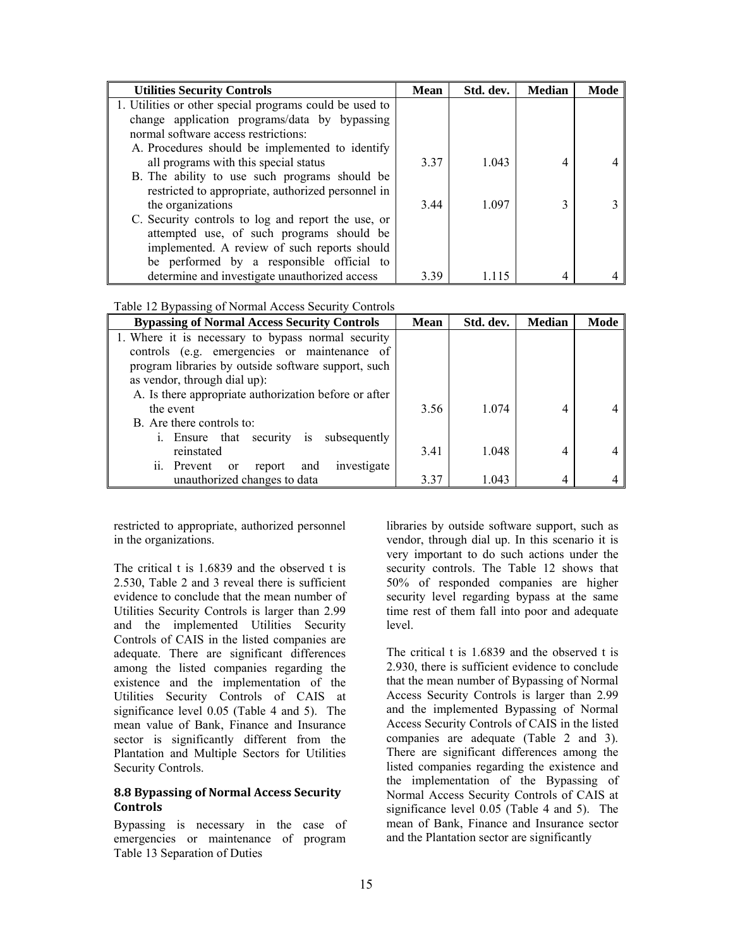| <b>Utilities Security Controls</b>                      | Mean | Std. dev. | <b>Median</b> | Mode |
|---------------------------------------------------------|------|-----------|---------------|------|
| 1. Utilities or other special programs could be used to |      |           |               |      |
| change application programs/data by bypassing           |      |           |               |      |
| normal software access restrictions:                    |      |           |               |      |
| A. Procedures should be implemented to identify         |      |           |               |      |
| all programs with this special status                   | 3.37 | 1.043     | 4             |      |
| B. The ability to use such programs should be           |      |           |               |      |
| restricted to appropriate, authorized personnel in      |      |           |               |      |
| the organizations                                       | 3.44 | 1.097     | 3             |      |
| C. Security controls to log and report the use, or      |      |           |               |      |
| attempted use, of such programs should be               |      |           |               |      |
| implemented. A review of such reports should            |      |           |               |      |
| be performed by a responsible official to               |      |           |               |      |
| determine and investigate unauthorized access           | 3.39 | -115      |               |      |

| <b>Bypassing of Normal Access Security Controls</b>   | <b>Mean</b> | Std. dev. | <b>Median</b> | Mode |
|-------------------------------------------------------|-------------|-----------|---------------|------|
| 1. Where it is necessary to bypass normal security    |             |           |               |      |
| controls (e.g. emergencies or maintenance of          |             |           |               |      |
| program libraries by outside software support, such   |             |           |               |      |
| as vendor, through dial up):                          |             |           |               |      |
| A. Is there appropriate authorization before or after |             |           |               |      |
| the event                                             | 3.56        | 1.074     | 4             |      |
| B. Are there controls to:                             |             |           |               |      |
| i. Ensure that security is subsequently               |             |           |               |      |
| reinstated                                            | 3.41        | 1.048     | 4             |      |
| investigate<br>and<br>ii. Prevent or<br>report        |             |           |               |      |
| unauthorized changes to data                          | 3.37        | 1.043     | 4             |      |

restricted to appropriate, authorized personnel in the organizations.

The critical t is 1.6839 and the observed t is 2.530, Table 2 and 3 reveal there is sufficient evidence to conclude that the mean number of Utilities Security Controls is larger than 2.99 and the implemented Utilities Security Controls of CAIS in the listed companies are adequate. There are significant differences among the listed companies regarding the existence and the implementation of the Utilities Security Controls of CAIS at significance level 0.05 (Table 4 and 5). The mean value of Bank, Finance and Insurance sector is significantly different from the Plantation and Multiple Sectors for Utilities Security Controls.

#### **8.8 Bypassing of Normal Access Security Controls**

Bypassing is necessary in the case of emergencies or maintenance of program Table 13 Separation of Duties

libraries by outside software support, such as vendor, through dial up. In this scenario it is very important to do such actions under the security controls. The Table 12 shows that 50% of responded companies are higher security level regarding bypass at the same time rest of them fall into poor and adequate level.

The critical t is 1.6839 and the observed t is 2.930, there is sufficient evidence to conclude that the mean number of Bypassing of Normal Access Security Controls is larger than 2.99 and the implemented Bypassing of Normal Access Security Controls of CAIS in the listed companies are adequate (Table 2 and 3). There are significant differences among the listed companies regarding the existence and the implementation of the Bypassing of Normal Access Security Controls of CAIS at significance level 0.05 (Table 4 and 5). The mean of Bank, Finance and Insurance sector and the Plantation sector are significantly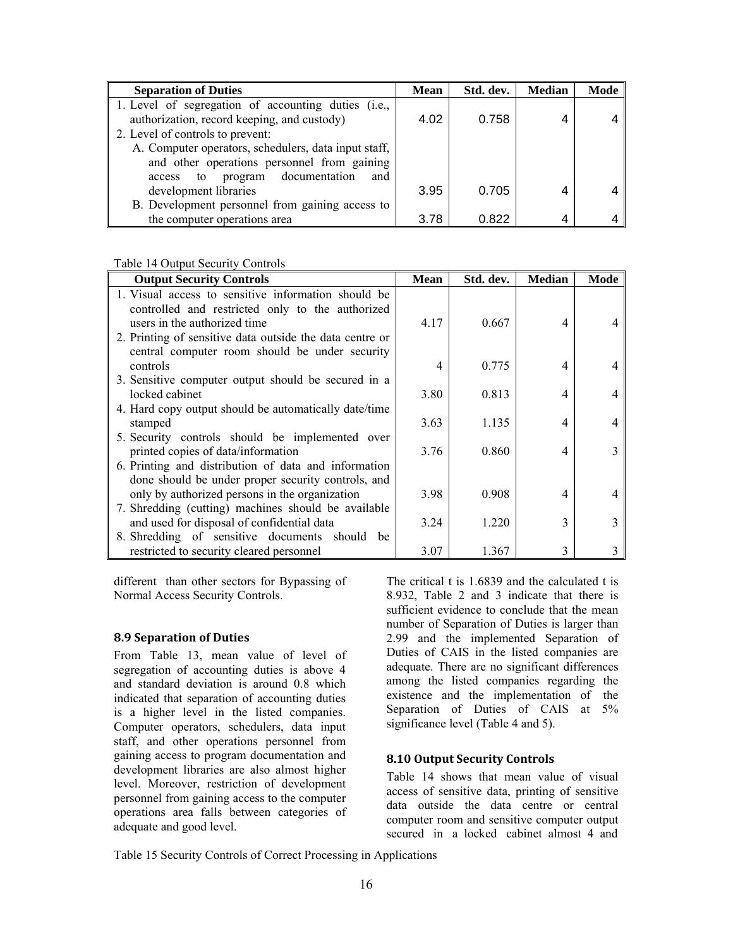| <b>Separation of Duties</b>                          | <b>Mean</b> | Std. dev. | <b>Median</b> | Mode |
|------------------------------------------------------|-------------|-----------|---------------|------|
| 1. Level of segregation of accounting duties (i.e.,  |             |           |               |      |
| authorization, record keeping, and custody)          | 4.02        | 0.758     | 4             |      |
| 2. Level of controls to prevent:                     |             |           |               |      |
| A. Computer operators, schedulers, data input staff, |             |           |               |      |
| and other operations personnel from gaining          |             |           |               |      |
| documentation<br>program<br>and<br>to<br>access      |             |           |               |      |
| development libraries                                | 3.95        | 0.705     | 4             |      |
| B. Development personnel from gaining access to      |             |           |               |      |
| the computer operations area                         | 3.78        | 0.822     | 4             |      |

Table 14 Output Security Controls

| <b>Output Security Controls</b>                          | <b>Mean</b> | Std. dev. | <b>Median</b> | Mode |
|----------------------------------------------------------|-------------|-----------|---------------|------|
| 1. Visual access to sensitive information should be      |             |           |               |      |
| controlled and restricted only to the authorized         |             |           |               |      |
| users in the authorized time                             | 4.17        | 0.667     | 4             |      |
| 2. Printing of sensitive data outside the data centre or |             |           |               |      |
| central computer room should be under security           |             |           |               |      |
| controls                                                 | 4           | 0.775     | 4             |      |
| 3. Sensitive computer output should be secured in a      |             |           |               |      |
| locked cabinet                                           | 3.80        | 0.813     | 4             |      |
| 4. Hard copy output should be automatically date/time    |             |           |               |      |
| stamped                                                  | 3.63        | 1.135     | 4             |      |
| 5. Security controls should be implemented over          |             |           |               |      |
| printed copies of data/information                       | 3.76        | 0.860     | 4             |      |
| 6. Printing and distribution of data and information     |             |           |               |      |
| done should be under proper security controls, and       |             |           |               |      |
| only by authorized persons in the organization           | 3.98        | 0.908     | 4             |      |
| 7. Shredding (cutting) machines should be available      |             |           |               |      |
| and used for disposal of confidential data               | 3.24        | 1.220     | 3             |      |
| 8. Shredding of sensitive documents should be            |             |           |               |      |
| restricted to security cleared personnel                 | 3.07        | 1.367     | 3             |      |

different than other sectors for Bypassing of Normal Access Security Controls.

#### **8.9 Separation of Duties**

From Table 13, mean value of level of segregation of accounting duties is above 4 and standard deviation is around 0.8 which indicated that separation of accounting duties is a higher level in the listed companies. Computer operators, schedulers, data input staff, and other operations personnel from gaining access to program documentation and development libraries are also almost higher level. Moreover, restriction of development personnel from gaining access to the computer operations area falls between categories of adequate and good level.

The critical t is 1.6839 and the calculated t is 8.932, Table 2 and 3 indicate that there is sufficient evidence to conclude that the mean number of Separation of Duties is larger than 2.99 and the implemented Separation of Duties of CAIS in the listed companies are adequate. There are no significant differences among the listed companies regarding the existence and the implementation of the Separation of Duties of CAIS at 5% significance level (Table 4 and 5).

#### **8.10 Output Security Controls**

Table 14 shows that mean value of visual access of sensitive data, printing of sensitive data outside the data centre or central computer room and sensitive computer output secured in a locked cabinet almost 4 and

Table 15 Security Controls of Correct Processing in Applications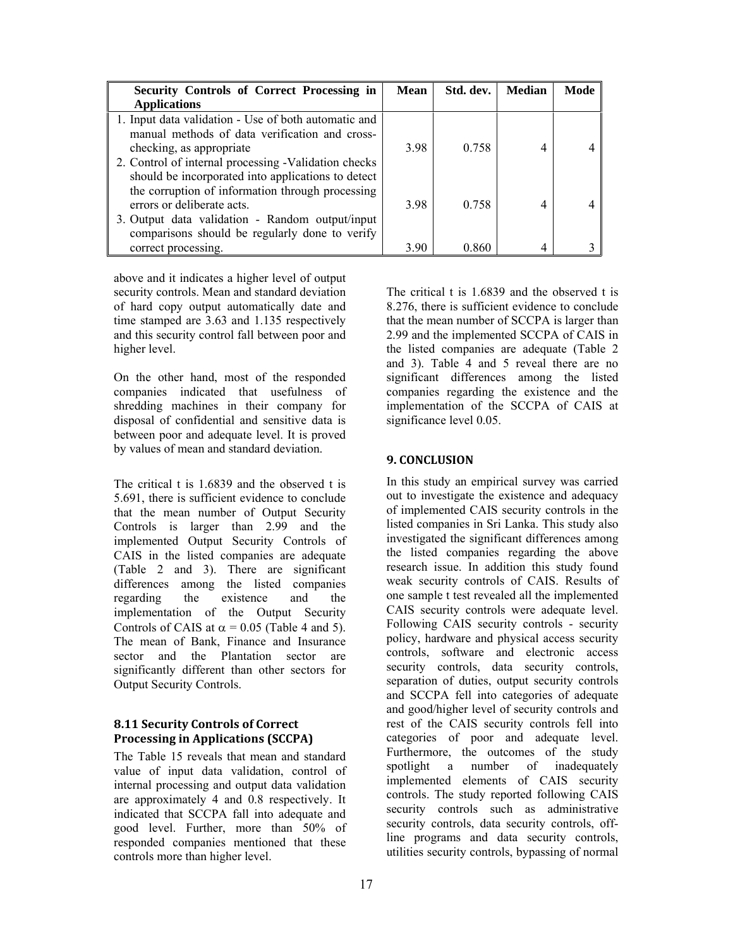| Security Controls of Correct Processing in           | <b>Mean</b> | Std. dev. | <b>Median</b> | Mode |
|------------------------------------------------------|-------------|-----------|---------------|------|
| <b>Applications</b>                                  |             |           |               |      |
| 1. Input data validation - Use of both automatic and |             |           |               |      |
| manual methods of data verification and cross-       |             |           |               |      |
| checking, as appropriate                             | 3.98        | 0.758     | 4             |      |
| 2. Control of internal processing -Validation checks |             |           |               |      |
| should be incorporated into applications to detect   |             |           |               |      |
| the corruption of information through processing     |             |           |               |      |
| errors or deliberate acts.                           | 3.98        | 0.758     | 4             |      |
| 3. Output data validation - Random output/input      |             |           |               |      |
| comparisons should be regularly done to verify       |             |           |               |      |
| correct processing.                                  | 3.90        | 0.860     | 4             |      |

above and it indicates a higher level of output security controls. Mean and standard deviation of hard copy output automatically date and time stamped are 3.63 and 1.135 respectively and this security control fall between poor and higher level.

On the other hand, most of the responded companies indicated that usefulness of shredding machines in their company for disposal of confidential and sensitive data is between poor and adequate level. It is proved by values of mean and standard deviation.

The critical t is 1.6839 and the observed t is 5.691, there is sufficient evidence to conclude that the mean number of Output Security Controls is larger than 2.99 and the implemented Output Security Controls of CAIS in the listed companies are adequate (Table 2 and 3). There are significant differences among the listed companies regarding the existence and the implementation of the Output Security Controls of CAIS at  $\alpha$  = 0.05 (Table 4 and 5). The mean of Bank, Finance and Insurance sector and the Plantation sector are significantly different than other sectors for Output Security Controls.

## **8.11 Security Controls of Correct Processing in Applications (SCCPA)**

The Table 15 reveals that mean and standard value of input data validation, control of internal processing and output data validation are approximately 4 and 0.8 respectively. It indicated that SCCPA fall into adequate and good level. Further, more than 50% of responded companies mentioned that these controls more than higher level.

The critical t is 1.6839 and the observed t is 8.276, there is sufficient evidence to conclude that the mean number of SCCPA is larger than 2.99 and the implemented SCCPA of CAIS in the listed companies are adequate (Table 2 and 3). Table 4 and 5 reveal there are no significant differences among the listed companies regarding the existence and the implementation of the SCCPA of CAIS at significance level 0.05.

## **9. CONCLUSION**

In this study an empirical survey was carried out to investigate the existence and adequacy of implemented CAIS security controls in the listed companies in Sri Lanka. This study also investigated the significant differences among the listed companies regarding the above research issue. In addition this study found weak security controls of CAIS. Results of one sample t test revealed all the implemented CAIS security controls were adequate level. Following CAIS security controls - security policy, hardware and physical access security controls, software and electronic access security controls, data security controls, separation of duties, output security controls and SCCPA fell into categories of adequate and good/higher level of security controls and rest of the CAIS security controls fell into categories of poor and adequate level. Furthermore, the outcomes of the study spotlight a number of inadequately implemented elements of CAIS security controls. The study reported following CAIS security controls such as administrative security controls, data security controls, offline programs and data security controls, utilities security controls, bypassing of normal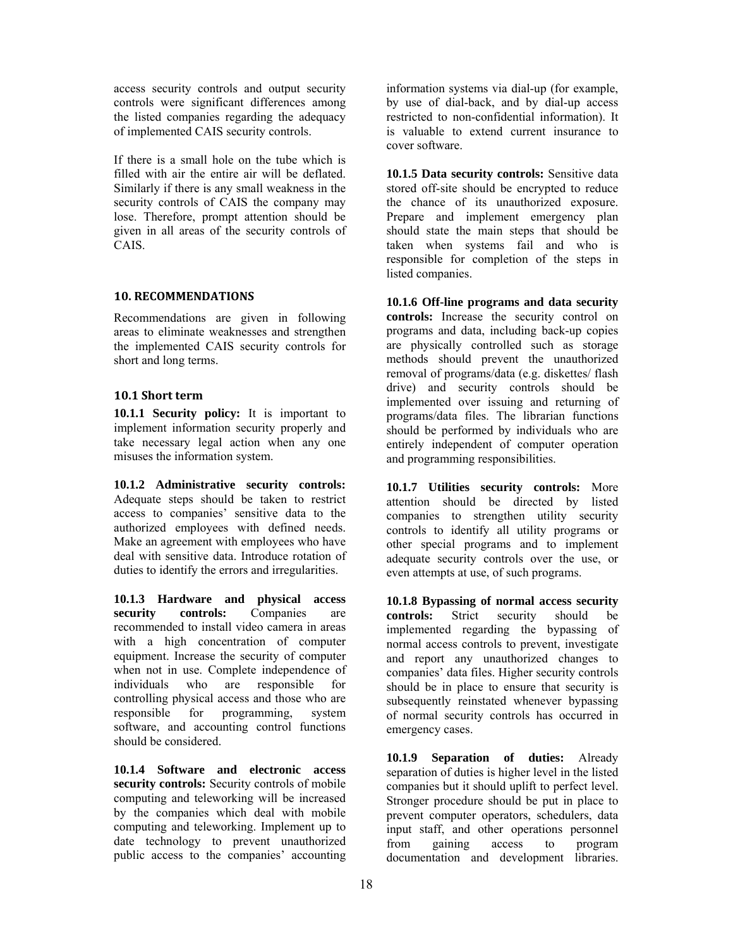access security controls and output security controls were significant differences among the listed companies regarding the adequacy of implemented CAIS security controls.

If there is a small hole on the tube which is filled with air the entire air will be deflated. Similarly if there is any small weakness in the security controls of CAIS the company may lose. Therefore, prompt attention should be given in all areas of the security controls of CAIS.

## **10. RECOMMENDATIONS**

Recommendations are given in following areas to eliminate weaknesses and strengthen the implemented CAIS security controls for short and long terms.

## **10.1 Short term**

**10.1.1 Security policy:** It is important to implement information security properly and take necessary legal action when any one misuses the information system.

**10.1.2 Administrative security controls:** Adequate steps should be taken to restrict access to companies' sensitive data to the authorized employees with defined needs. Make an agreement with employees who have deal with sensitive data. Introduce rotation of duties to identify the errors and irregularities.

**10.1.3 Hardware and physical access security controls:** Companies are recommended to install video camera in areas with a high concentration of computer equipment. Increase the security of computer when not in use. Complete independence of individuals who are responsible for individuals who are responsible for controlling physical access and those who are responsible for programming, system software, and accounting control functions should be considered.

**10.1.4 Software and electronic access security controls:** Security controls of mobile computing and teleworking will be increased by the companies which deal with mobile computing and teleworking. Implement up to date technology to prevent unauthorized public access to the companies' accounting

information systems via dial-up (for example, by use of dial-back, and by dial-up access restricted to non-confidential information). It is valuable to extend current insurance to cover software.

**10.1.5 Data security controls:** Sensitive data stored off-site should be encrypted to reduce the chance of its unauthorized exposure. Prepare and implement emergency plan should state the main steps that should be taken when systems fail and who is responsible for completion of the steps in listed companies.

**10.1.6 Off-line programs and data security controls:** Increase the security control on programs and data, including back-up copies are physically controlled such as storage methods should prevent the unauthorized removal of programs/data (e.g. diskettes/ flash drive) and security controls should be implemented over issuing and returning of programs/data files. The librarian functions should be performed by individuals who are entirely independent of computer operation and programming responsibilities.

**10.1.7 Utilities security controls:** More attention should be directed by listed companies to strengthen utility security controls to identify all utility programs or other special programs and to implement adequate security controls over the use, or even attempts at use, of such programs.

**10.1.8 Bypassing of normal access security controls:** Strict security should be implemented regarding the bypassing of normal access controls to prevent, investigate and report any unauthorized changes to companies' data files. Higher security controls should be in place to ensure that security is subsequently reinstated whenever bypassing of normal security controls has occurred in emergency cases.

**10.1.9 Separation of duties:** Already separation of duties is higher level in the listed companies but it should uplift to perfect level. Stronger procedure should be put in place to prevent computer operators, schedulers, data input staff, and other operations personnel from gaining access to program documentation and development libraries.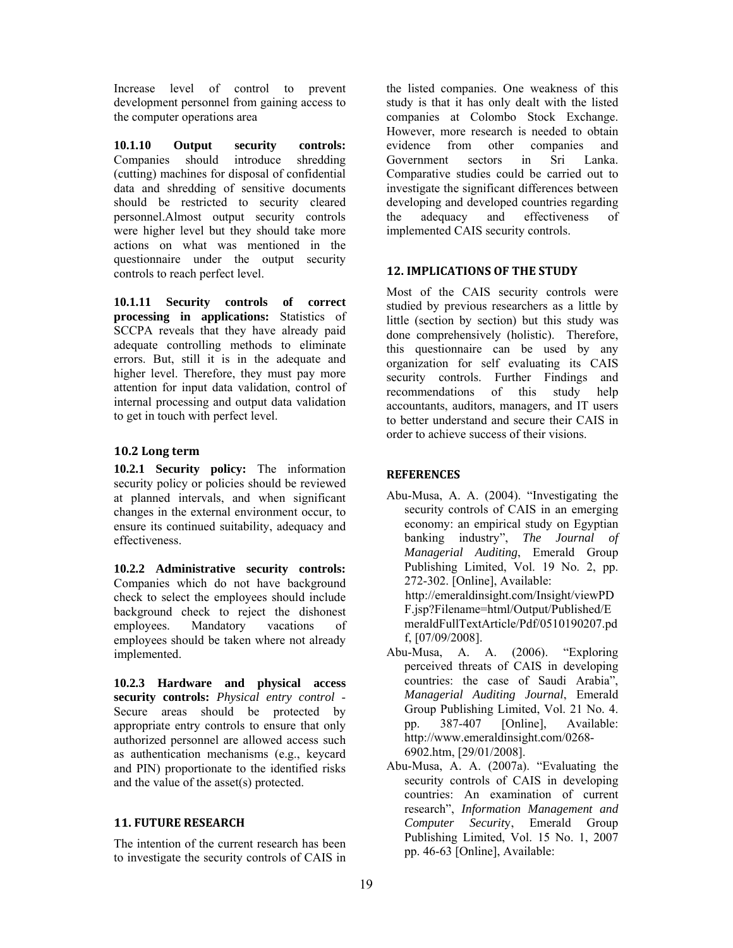Increase level of control to prevent development personnel from gaining access to the computer operations area

**10.1.10 Output security controls:**  Companies should introduce shredding (cutting) machines for disposal of confidential data and shredding of sensitive documents should be restricted to security cleared personnel.Almost output security controls were higher level but they should take more actions on what was mentioned in the questionnaire under the output security controls to reach perfect level.

**10.1.11 Security controls of correct processing in applications:** Statistics of SCCPA reveals that they have already paid adequate controlling methods to eliminate errors. But, still it is in the adequate and higher level. Therefore, they must pay more attention for input data validation, control of internal processing and output data validation to get in touch with perfect level.

## **10.2 Long term**

**10.2.1 Security policy:** The information security policy or policies should be reviewed at planned intervals, and when significant changes in the external environment occur, to ensure its continued suitability, adequacy and effectiveness.

**10.2.2 Administrative security controls:**  Companies which do not have background check to select the employees should include background check to reject the dishonest employees. Mandatory vacations of employees should be taken where not already implemented.

**10.2.3 Hardware and physical access security controls:** *Physical entry control* - Secure areas should be protected by appropriate entry controls to ensure that only authorized personnel are allowed access such as authentication mechanisms (e.g., keycard and PIN) proportionate to the identified risks and the value of the asset(s) protected.

# **11. FUTURE RESEARCH**

The intention of the current research has been to investigate the security controls of CAIS in

the listed companies. One weakness of this study is that it has only dealt with the listed companies at Colombo Stock Exchange. However, more research is needed to obtain evidence from other companies and<br>Government sectors in Sri Lanka Government sectors in Sri Lanka. Comparative studies could be carried out to investigate the significant differences between developing and developed countries regarding the adequacy and effectiveness of implemented CAIS security controls.

# **12. IMPLICATIONS OF THE STUDY**

Most of the CAIS security controls were studied by previous researchers as a little by little (section by section) but this study was done comprehensively (holistic). Therefore, this questionnaire can be used by any organization for self evaluating its CAIS security controls. Further Findings and recommendations of this study help accountants, auditors, managers, and IT users to better understand and secure their CAIS in order to achieve success of their visions.

## **REFERENCES**

- Abu-Musa, A. A. (2004). "Investigating the security controls of CAIS in an emerging economy: an empirical study on Egyptian banking industry", *The Journal of Managerial Auditing*, Emerald Group Publishing Limited, Vol. 19 No. 2, pp. 272-302. [Online], Available: http://emeraldinsight.com/Insight/viewPD F.jsp?Filename=html/Output/Published/E meraldFullTextArticle/Pdf/0510190207.pd f, [07/09/2008].
- Abu-Musa, A. A. (2006). "Exploring perceived threats of CAIS in developing countries: the case of Saudi Arabia", *Managerial Auditing Journal*, Emerald Group Publishing Limited, Vol. 21 No. 4. pp. 387-407 [Online], Available: http://www.emeraldinsight.com/0268- 6902.htm, [29/01/2008].
- Abu-Musa, A. A. (2007a). "Evaluating the security controls of CAIS in developing countries: An examination of current research", *Information Management and Computer Securit*y, Emerald Group Publishing Limited, Vol. 15 No. 1, 2007 pp. 46-63 [Online], Available: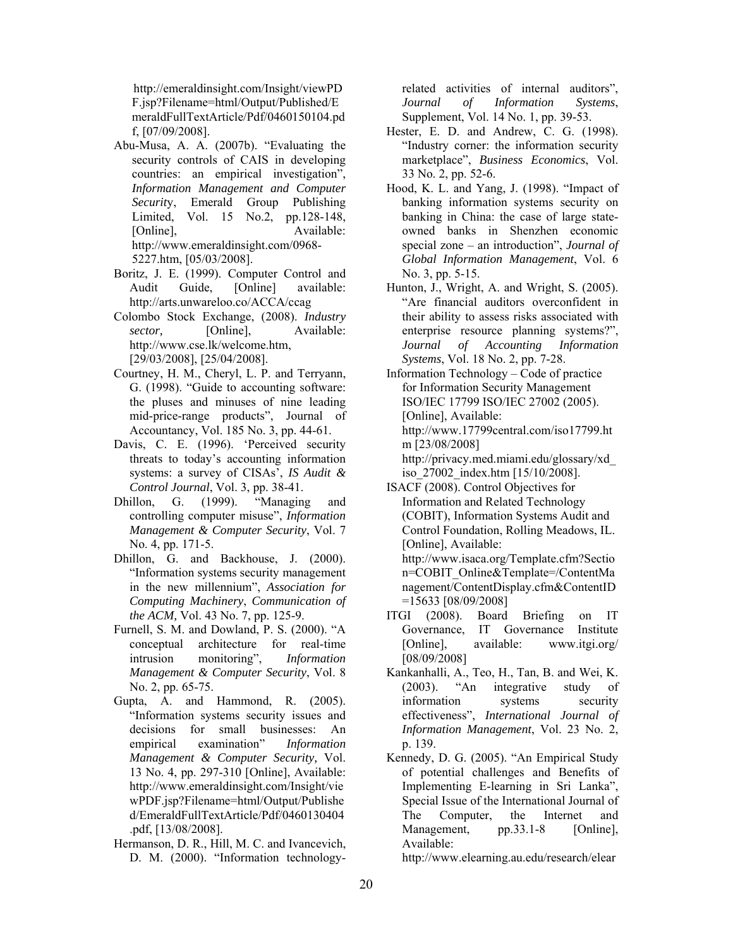http://emeraldinsight.com/Insight/viewPD F.jsp?Filename=html/Output/Published/E meraldFullTextArticle/Pdf/0460150104.pd f, [07/09/2008].

- Abu-Musa, A. A. (2007b). "Evaluating the security controls of CAIS in developing countries: an empirical investigation", *Information Management and Computer Securit*y, Emerald Group Publishing Limited, Vol. 15 No.2, pp.128-148, [Online], Available: http://www.emeraldinsight.com/0968- 5227.htm, [05/03/2008].
- Boritz, J. E. (1999). Computer Control and Audit Guide, [Online] available: http://arts.unwareloo.co/ACCA/ccag
- Colombo Stock Exchange, (2008). *Industry sector,* [Online], Available: http://www.cse.lk/welcome.htm, [29/03/2008], [25/04/2008].
- Courtney, H. M., Cheryl, L. P. and Terryann, G. (1998). "Guide to accounting software: the pluses and minuses of nine leading mid-price-range products", Journal of Accountancy, Vol. 185 No. 3, pp. 44-61.
- Davis, C. E. (1996). 'Perceived security threats to today's accounting information systems: a survey of CISAs', *IS Audit & Control Journal*, Vol. 3, pp. 38-41.
- Dhillon, G. (1999). "Managing and controlling computer misuse", *Information Management & Computer Security*, Vol. 7 No. 4, pp. 171-5.
- Dhillon, G. and Backhouse, J. (2000). "Information systems security management in the new millennium", *Association for Computing Machinery*, *Communication of the ACM,* Vol. 43 No. 7, pp. 125-9.
- Furnell, S. M. and Dowland, P. S. (2000). "A conceptual architecture for real-time intrusion monitoring", *Information Management & Computer Security*, Vol. 8 No. 2, pp. 65-75.
- Gupta, A. and Hammond, R. (2005). "Information systems security issues and decisions for small businesses: An empirical examination" *Information Management & Computer Security,* Vol. 13 No. 4, pp. 297-310 [Online], Available: http://www.emeraldinsight.com/Insight/vie wPDF.jsp?Filename=html/Output/Publishe d/EmeraldFullTextArticle/Pdf/0460130404 .pdf, [13/08/2008].
- Hermanson, D. R., Hill, M. C. and Ivancevich, D. M. (2000). "Information technology-

related activities of internal auditors", *Journal of Information Systems*, Supplement, Vol. 14 No. 1, pp. 39-53.

- Hester, E. D. and Andrew, C. G. (1998). "Industry corner: the information security marketplace", *Business Economics*, Vol. 33 No. 2, pp. 52-6.
- Hood, K. L. and Yang, J. (1998). "Impact of banking information systems security on banking in China: the case of large stateowned banks in Shenzhen economic special zone – an introduction", *Journal of Global Information Management*, Vol. 6 No. 3, pp. 5-15.
- Hunton, J., Wright, A. and Wright, S. (2005). "Are financial auditors overconfident in their ability to assess risks associated with enterprise resource planning systems?", *Journal of Accounting Information Systems*, Vol. 18 No. 2, pp. 7-28.
- Information Technology Code of practice for Information Security Management ISO/IEC 17799 ISO/IEC 27002 (2005). [Online], Available: http://www.17799central.com/iso17799.ht m [23/08/2008] http://privacy.med.miami.edu/glossary/xd\_

iso\_27002\_index.htm [15/10/2008].

- ISACF (2008). Control Objectives for Information and Related Technology (COBIT), Information Systems Audit and Control Foundation, Rolling Meadows, IL. [Online], Available: http://www.isaca.org/Template.cfm?Sectio n=COBIT\_Online&Template=/ContentMa nagement/ContentDisplay.cfm&ContentID =15633 [08/09/2008]
- ITGI (2008). Board Briefing on IT Governance, IT Governance Institute [Online], available: www.itgi.org/ [08/09/2008]
- Kankanhalli, A., Teo, H., Tan, B. and Wei, K. (2003). "An integrative study of information systems security effectiveness", *International Journal of Information Management*, Vol. 23 No. 2, p. 139.
- Kennedy, D. G. (2005). "An Empirical Study of potential challenges and Benefits of Implementing E-learning in Sri Lanka", Special Issue of the International Journal of The Computer, the Internet and Management, pp.33.1-8 [Online], Available:

http://www.elearning.au.edu/research/elear